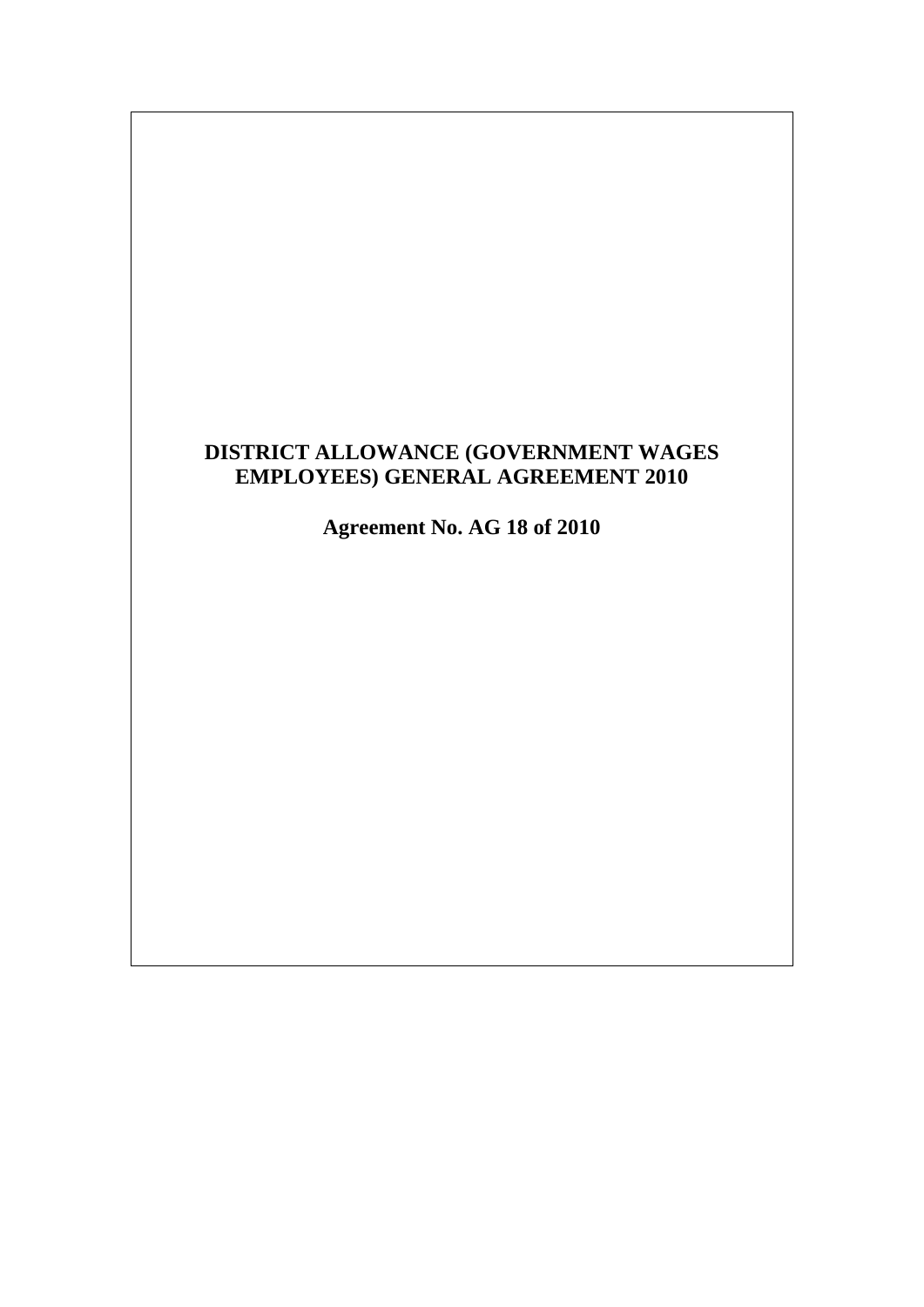# **DISTRICT ALLOWANCE (GOVERNMENT WAGES EMPLOYEES) GENERAL AGREEMENT 2010**

**Agreement No. AG 18 of 2010**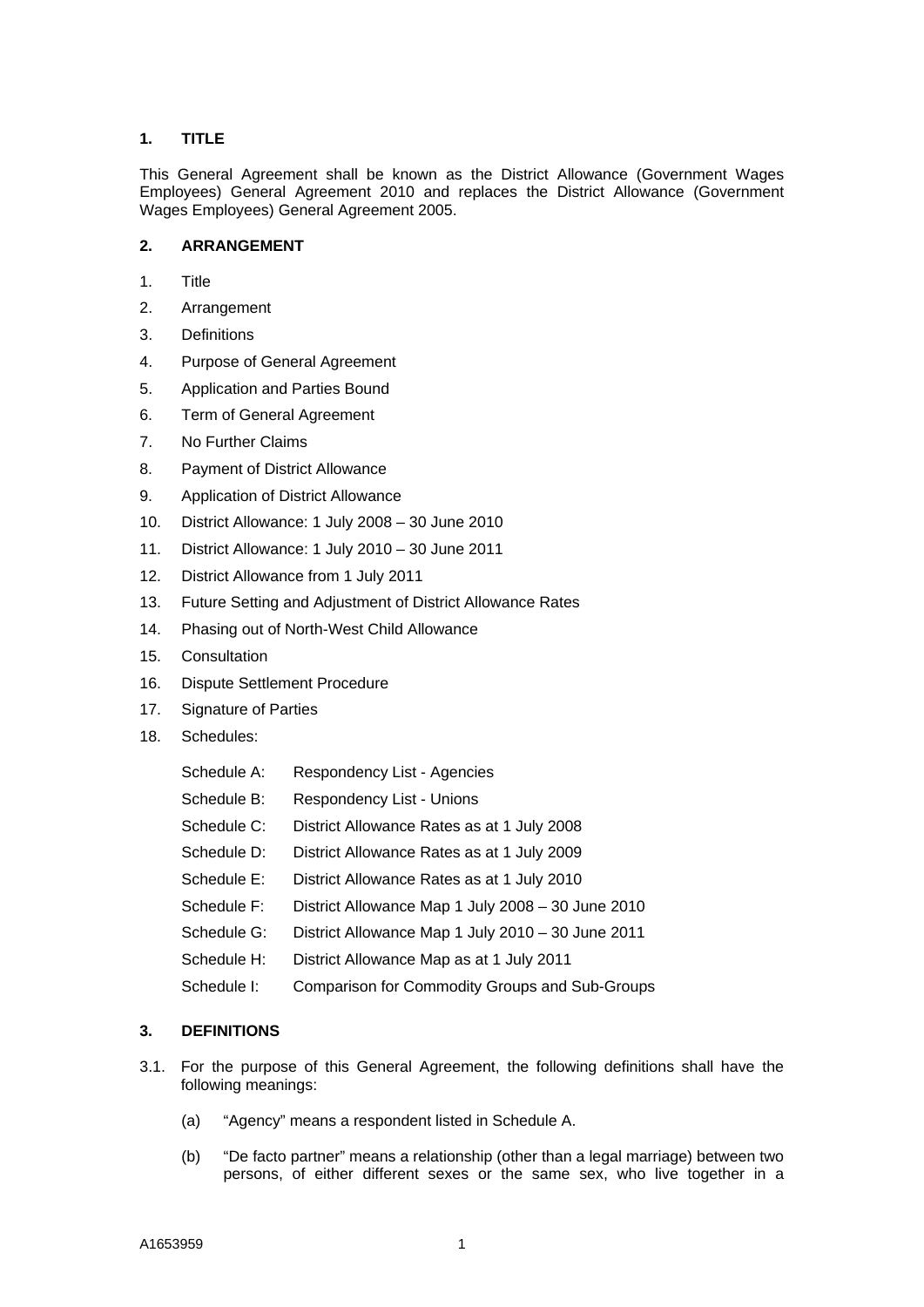# **1. TITLE**

This General Agreement shall be known as the District Allowance (Government Wages Employees) General Agreement 2010 and replaces the District Allowance (Government Wages Employees) General Agreement 2005.

# **2. ARRANGEMENT**

- 1. Title
- 2. Arrangement
- 3. Definitions
- 4. Purpose of General Agreement
- 5. Application and Parties Bound
- 6. Term of General Agreement
- 7. No Further Claims
- 8. Payment of District Allowance
- 9. Application of District Allowance
- 10. District Allowance: 1 July 2008 30 June 2010
- 11. District Allowance: 1 July 2010 30 June 2011
- 12. District Allowance from 1 July 2011
- 13. Future Setting and Adjustment of District Allowance Rates
- 14. Phasing out of North-West Child Allowance
- 15. Consultation
- 16. Dispute Settlement Procedure
- 17. Signature of Parties
- 18. Schedules:

| Schedule A: | Respondency List - Agencies                           |
|-------------|-------------------------------------------------------|
| Schedule B: | Respondency List - Unions                             |
| Schedule C: | District Allowance Rates as at 1 July 2008            |
| Schedule D: | District Allowance Rates as at 1 July 2009            |
| Schedule E: | District Allowance Rates as at 1 July 2010            |
| Schedule F: | District Allowance Map 1 July 2008 - 30 June 2010     |
| Schedule G: | District Allowance Map 1 July 2010 - 30 June 2011     |
| Schedule H: | District Allowance Map as at 1 July 2011              |
| Schedule I: | <b>Comparison for Commodity Groups and Sub-Groups</b> |
|             |                                                       |

## **3. DEFINITIONS**

- 3.1. For the purpose of this General Agreement, the following definitions shall have the following meanings:
	- (a) "Agency" means a respondent listed in Schedule A.
	- (b) "De facto partner" means a relationship (other than a legal marriage) between two persons, of either different sexes or the same sex, who live together in a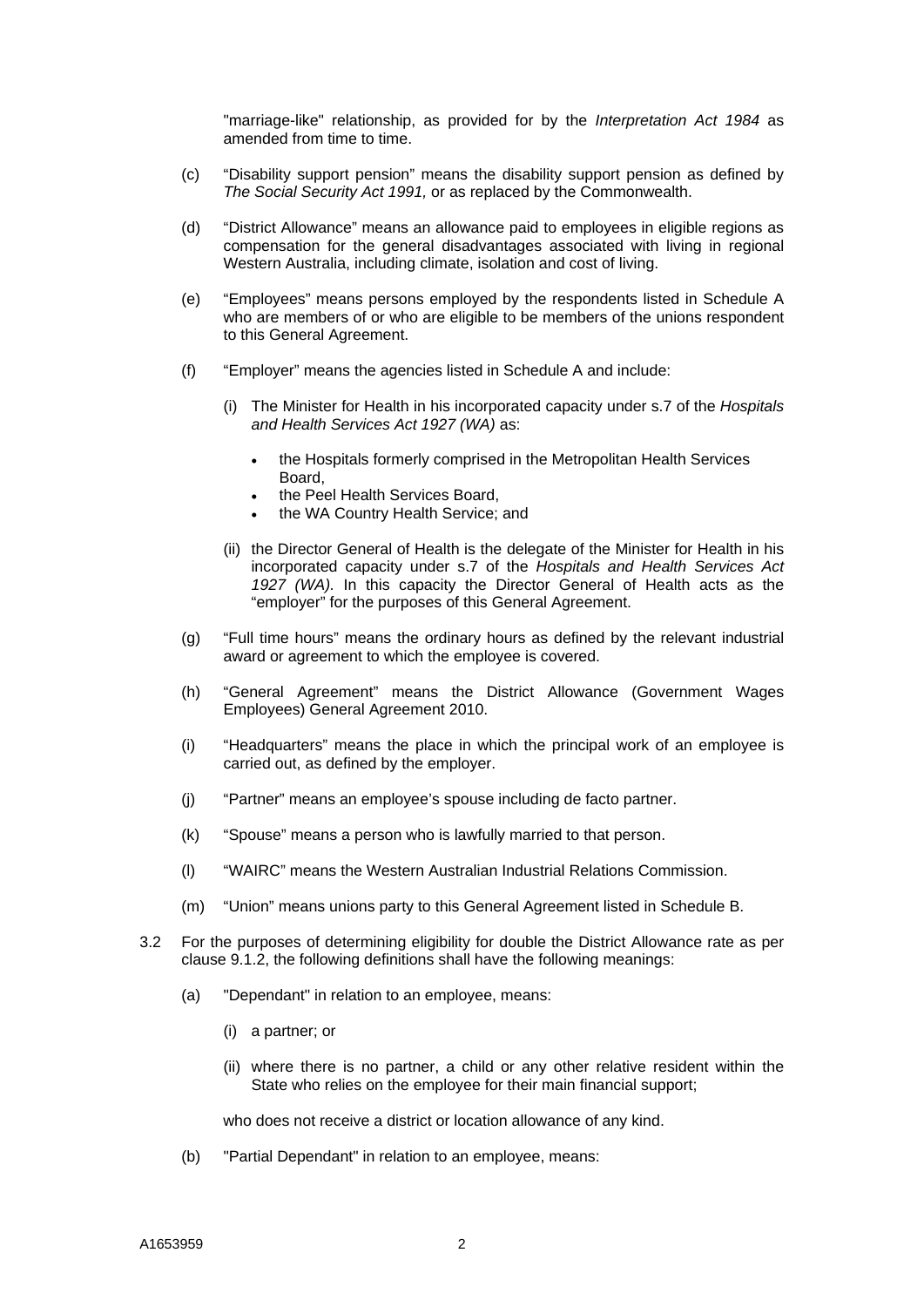"marriage-like" relationship, as provided for by the *Interpretation Act 1984* as amended from time to time.

- (c) "Disability support pension" means the disability support pension as defined by *The Social Security Act 1991,* or as replaced by the Commonwealth.
- (d) "District Allowance" means an allowance paid to employees in eligible regions as compensation for the general disadvantages associated with living in regional Western Australia, including climate, isolation and cost of living.
- (e) "Employees" means persons employed by the respondents listed in Schedule A who are members of or who are eligible to be members of the unions respondent to this General Agreement.
- (f) "Employer" means the agencies listed in Schedule A and include:
	- (i) The Minister for Health in his incorporated capacity under s.7 of the *Hospitals and Health Services Act 1927 (WA)* as:
		- the Hospitals formerly comprised in the Metropolitan Health Services Board,
		- the Peel Health Services Board,
		- the WA Country Health Service; and
	- (ii) the Director General of Health is the delegate of the Minister for Health in his incorporated capacity under s.7 of the *Hospitals and Health Services Act 1927 (WA).* In this capacity the Director General of Health acts as the "employer" for the purposes of this General Agreement.
- (g) "Full time hours" means the ordinary hours as defined by the relevant industrial award or agreement to which the employee is covered.
- (h) "General Agreement" means the District Allowance (Government Wages Employees) General Agreement 2010.
- (i) "Headquarters" means the place in which the principal work of an employee is carried out, as defined by the employer.
- (j) "Partner" means an employee's spouse including de facto partner.
- (k) "Spouse" means a person who is lawfully married to that person.
- (l) "WAIRC" means the Western Australian Industrial Relations Commission.
- (m) "Union" means unions party to this General Agreement listed in Schedule B.
- 3.2 For the purposes of determining eligibility for double the District Allowance rate as per clause 9.1.2, the following definitions shall have the following meanings:
	- (a) "Dependant" in relation to an employee, means:
		- (i) a partner; or
		- (ii) where there is no partner, a child or any other relative resident within the State who relies on the employee for their main financial support;

who does not receive a district or location allowance of any kind.

(b) "Partial Dependant" in relation to an employee, means: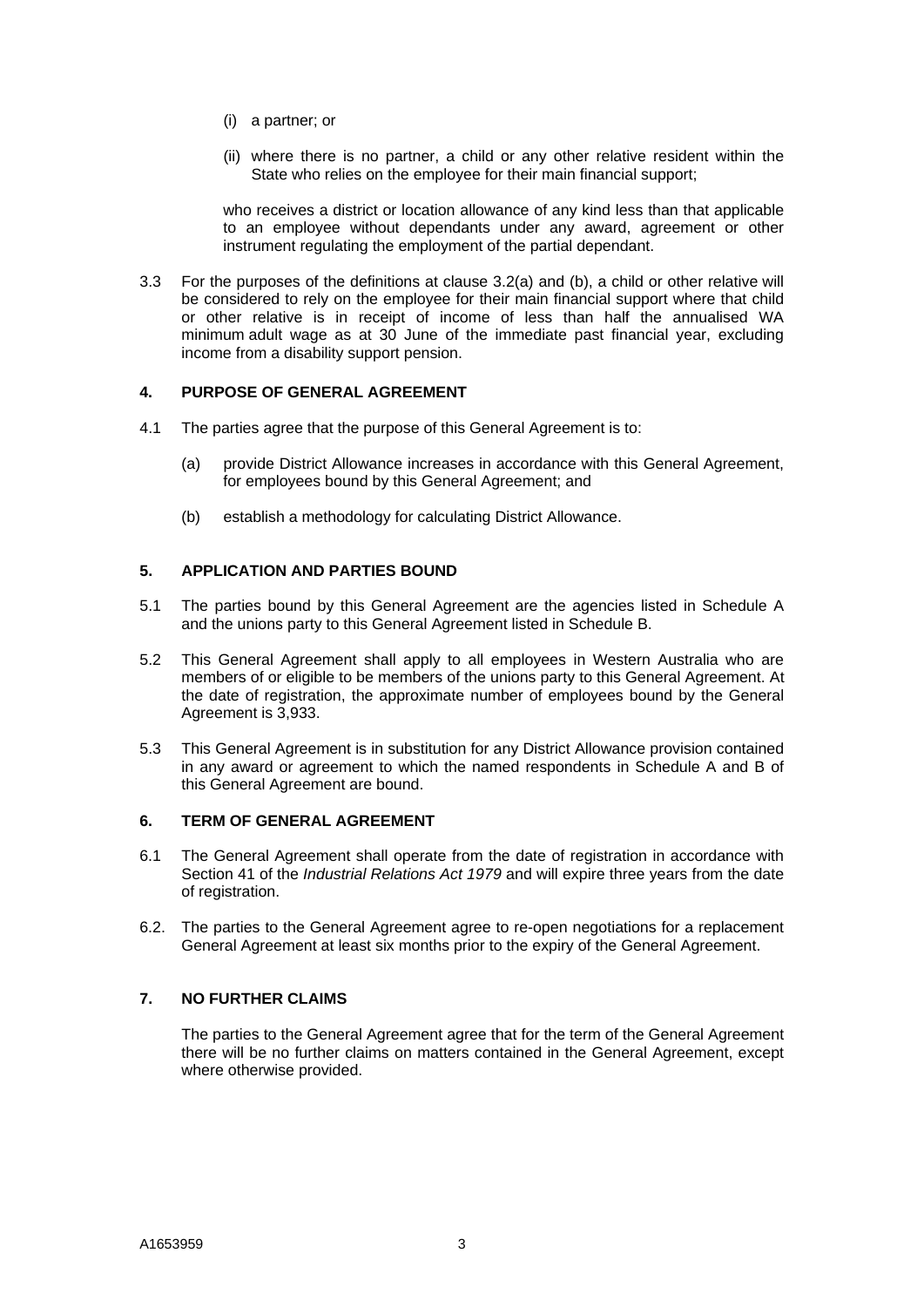- (i) a partner; or
- (ii) where there is no partner, a child or any other relative resident within the State who relies on the employee for their main financial support;

who receives a district or location allowance of any kind less than that applicable to an employee without dependants under any award, agreement or other instrument regulating the employment of the partial dependant.

3.3 For the purposes of the definitions at clause 3.2(a) and (b), a child or other relative will be considered to rely on the employee for their main financial support where that child or other relative is in receipt of income of less than half the annualised WA minimum adult wage as at 30 June of the immediate past financial year, excluding income from a disability support pension.

#### **4. PURPOSE OF GENERAL AGREEMENT**

- 4.1 The parties agree that the purpose of this General Agreement is to:
	- (a) provide District Allowance increases in accordance with this General Agreement, for employees bound by this General Agreement; and
	- (b) establish a methodology for calculating District Allowance.

#### **5. APPLICATION AND PARTIES BOUND**

- 5.1 The parties bound by this General Agreement are the agencies listed in Schedule A and the unions party to this General Agreement listed in Schedule B.
- 5.2 This General Agreement shall apply to all employees in Western Australia who are members of or eligible to be members of the unions party to this General Agreement. At the date of registration, the approximate number of employees bound by the General Agreement is 3,933.
- 5.3 This General Agreement is in substitution for any District Allowance provision contained in any award or agreement to which the named respondents in Schedule A and B of this General Agreement are bound.

#### **6. TERM OF GENERAL AGREEMENT**

- 6.1 The General Agreement shall operate from the date of registration in accordance with Section 41 of the *Industrial Relations Act 1979* and will expire three years from the date of registration.
- 6.2. The parties to the General Agreement agree to re-open negotiations for a replacement General Agreement at least six months prior to the expiry of the General Agreement.

## **7. NO FURTHER CLAIMS**

 The parties to the General Agreement agree that for the term of the General Agreement there will be no further claims on matters contained in the General Agreement, except where otherwise provided.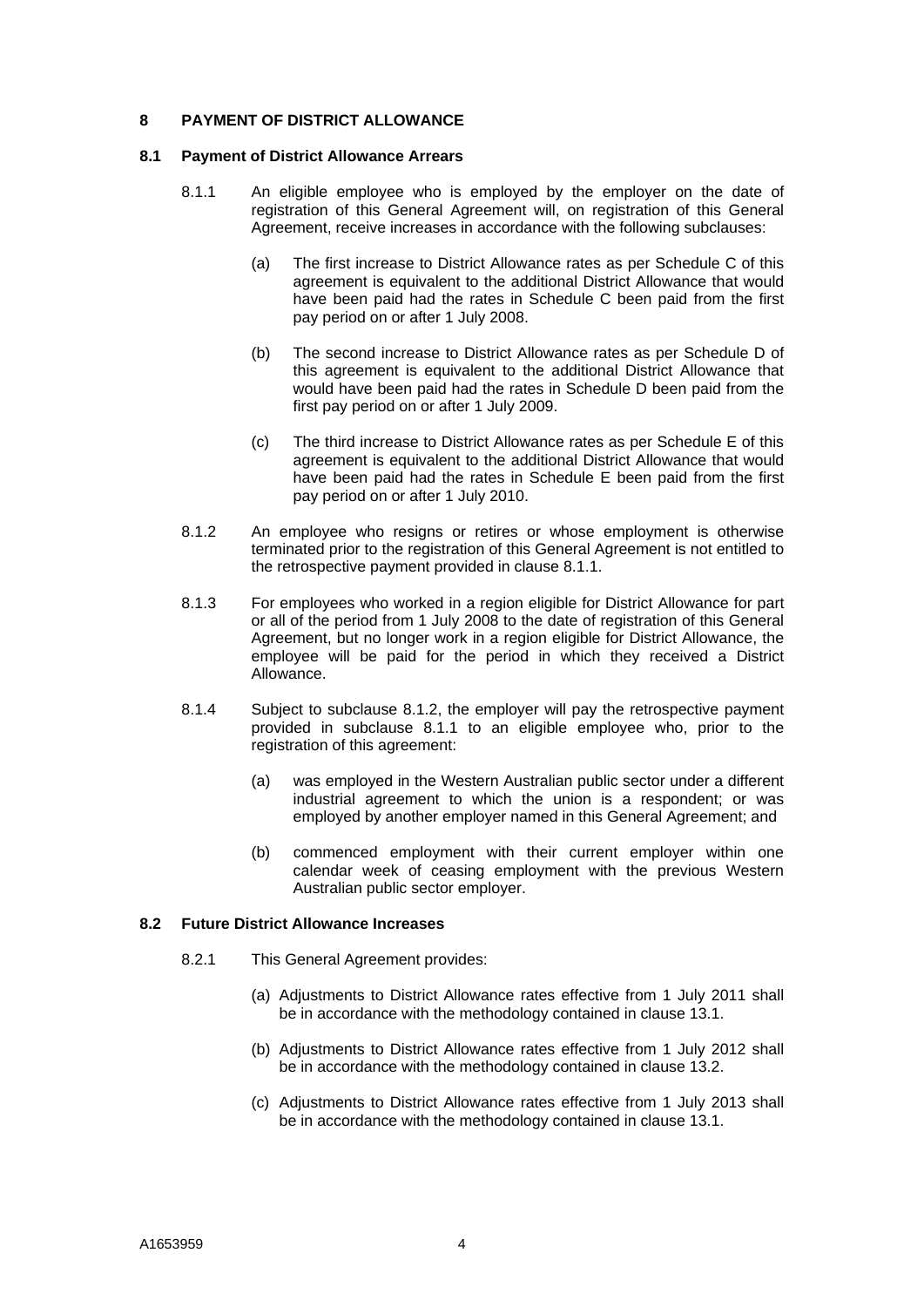#### **8 PAYMENT OF DISTRICT ALLOWANCE**

#### **8.1 Payment of District Allowance Arrears**

- 8.1.1 An eligible employee who is employed by the employer on the date of registration of this General Agreement will, on registration of this General Agreement, receive increases in accordance with the following subclauses:
	- (a) The first increase to District Allowance rates as per Schedule C of this agreement is equivalent to the additional District Allowance that would have been paid had the rates in Schedule C been paid from the first pay period on or after 1 July 2008.
	- (b) The second increase to District Allowance rates as per Schedule D of this agreement is equivalent to the additional District Allowance that would have been paid had the rates in Schedule D been paid from the first pay period on or after 1 July 2009.
	- (c) The third increase to District Allowance rates as per Schedule E of this agreement is equivalent to the additional District Allowance that would have been paid had the rates in Schedule E been paid from the first pay period on or after 1 July 2010.
- 8.1.2 An employee who resigns or retires or whose employment is otherwise terminated prior to the registration of this General Agreement is not entitled to the retrospective payment provided in clause 8.1.1.
- 8.1.3 For employees who worked in a region eligible for District Allowance for part or all of the period from 1 July 2008 to the date of registration of this General Agreement, but no longer work in a region eligible for District Allowance, the employee will be paid for the period in which they received a District Allowance.
- 8.1.4 Subject to subclause 8.1.2, the employer will pay the retrospective payment provided in subclause 8.1.1 to an eligible employee who, prior to the registration of this agreement:
	- (a) was employed in the Western Australian public sector under a different industrial agreement to which the union is a respondent; or was employed by another employer named in this General Agreement; and
	- (b) commenced employment with their current employer within one calendar week of ceasing employment with the previous Western Australian public sector employer.

#### **8.2 Future District Allowance Increases**

- 8.2.1 This General Agreement provides:
	- (a) Adjustments to District Allowance rates effective from 1 July 2011 shall be in accordance with the methodology contained in clause 13.1.
	- (b) Adjustments to District Allowance rates effective from 1 July 2012 shall be in accordance with the methodology contained in clause 13.2.
	- (c) Adjustments to District Allowance rates effective from 1 July 2013 shall be in accordance with the methodology contained in clause 13.1.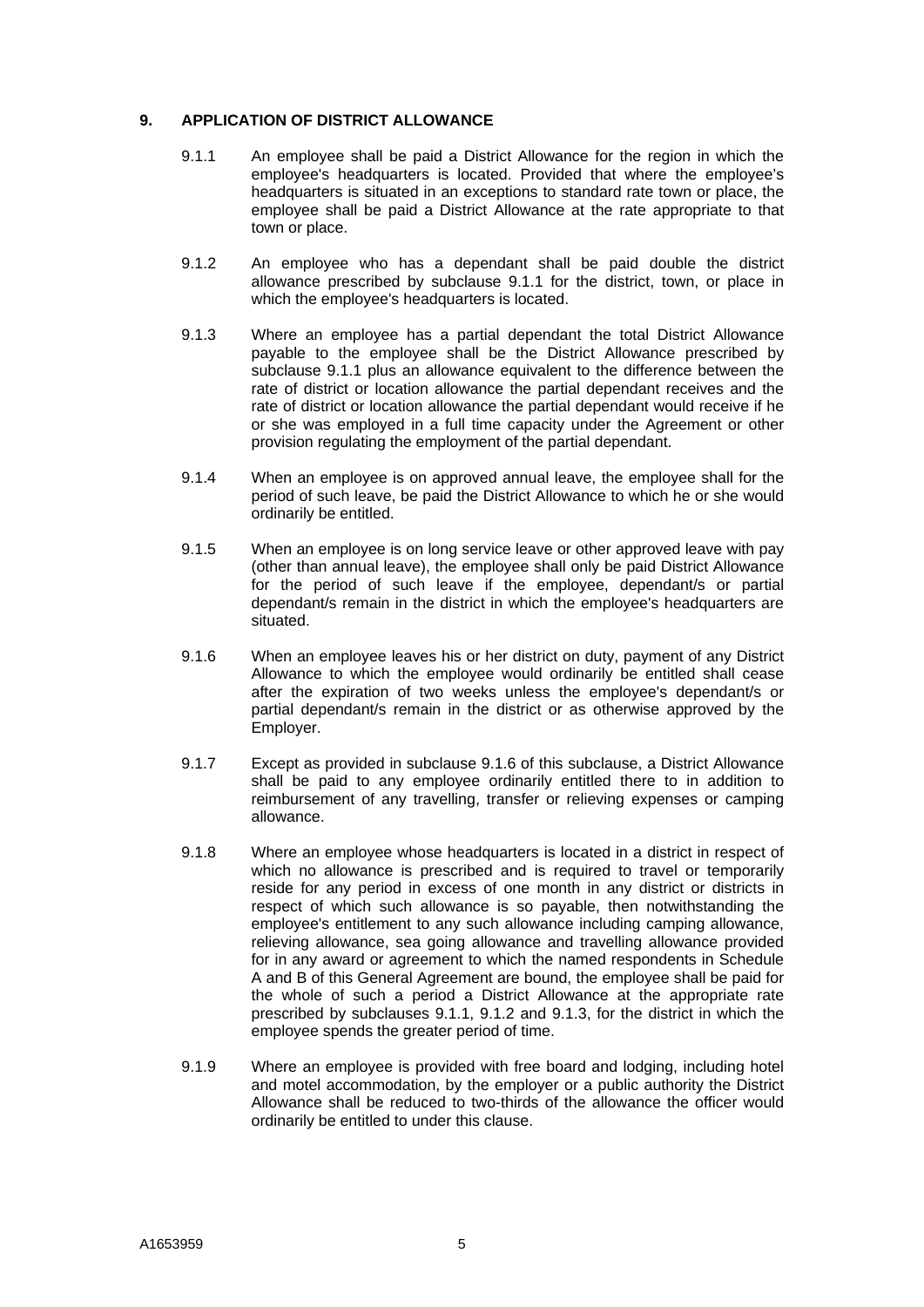#### **9. APPLICATION OF DISTRICT ALLOWANCE**

- 9.1.1 An employee shall be paid a District Allowance for the region in which the employee's headquarters is located. Provided that where the employee's headquarters is situated in an exceptions to standard rate town or place, the employee shall be paid a District Allowance at the rate appropriate to that town or place.
- 9.1.2 An employee who has a dependant shall be paid double the district allowance prescribed by subclause 9.1.1 for the district, town, or place in which the employee's headquarters is located.
- 9.1.3 Where an employee has a partial dependant the total District Allowance payable to the employee shall be the District Allowance prescribed by subclause 9.1.1 plus an allowance equivalent to the difference between the rate of district or location allowance the partial dependant receives and the rate of district or location allowance the partial dependant would receive if he or she was employed in a full time capacity under the Agreement or other provision regulating the employment of the partial dependant.
- 9.1.4 When an employee is on approved annual leave, the employee shall for the period of such leave, be paid the District Allowance to which he or she would ordinarily be entitled.
- 9.1.5 When an employee is on long service leave or other approved leave with pay (other than annual leave), the employee shall only be paid District Allowance for the period of such leave if the employee, dependant/s or partial dependant/s remain in the district in which the employee's headquarters are situated.
- 9.1.6 When an employee leaves his or her district on duty, payment of any District Allowance to which the employee would ordinarily be entitled shall cease after the expiration of two weeks unless the employee's dependant/s or partial dependant/s remain in the district or as otherwise approved by the Employer.
- 9.1.7 Except as provided in subclause 9.1.6 of this subclause, a District Allowance shall be paid to any employee ordinarily entitled there to in addition to reimbursement of any travelling, transfer or relieving expenses or camping allowance.
- 9.1.8 Where an employee whose headquarters is located in a district in respect of which no allowance is prescribed and is required to travel or temporarily reside for any period in excess of one month in any district or districts in respect of which such allowance is so payable, then notwithstanding the employee's entitlement to any such allowance including camping allowance, relieving allowance, sea going allowance and travelling allowance provided for in any award or agreement to which the named respondents in Schedule A and B of this General Agreement are bound, the employee shall be paid for the whole of such a period a District Allowance at the appropriate rate prescribed by subclauses 9.1.1, 9.1.2 and 9.1.3, for the district in which the employee spends the greater period of time.
- 9.1.9 Where an employee is provided with free board and lodging, including hotel and motel accommodation, by the employer or a public authority the District Allowance shall be reduced to two-thirds of the allowance the officer would ordinarily be entitled to under this clause.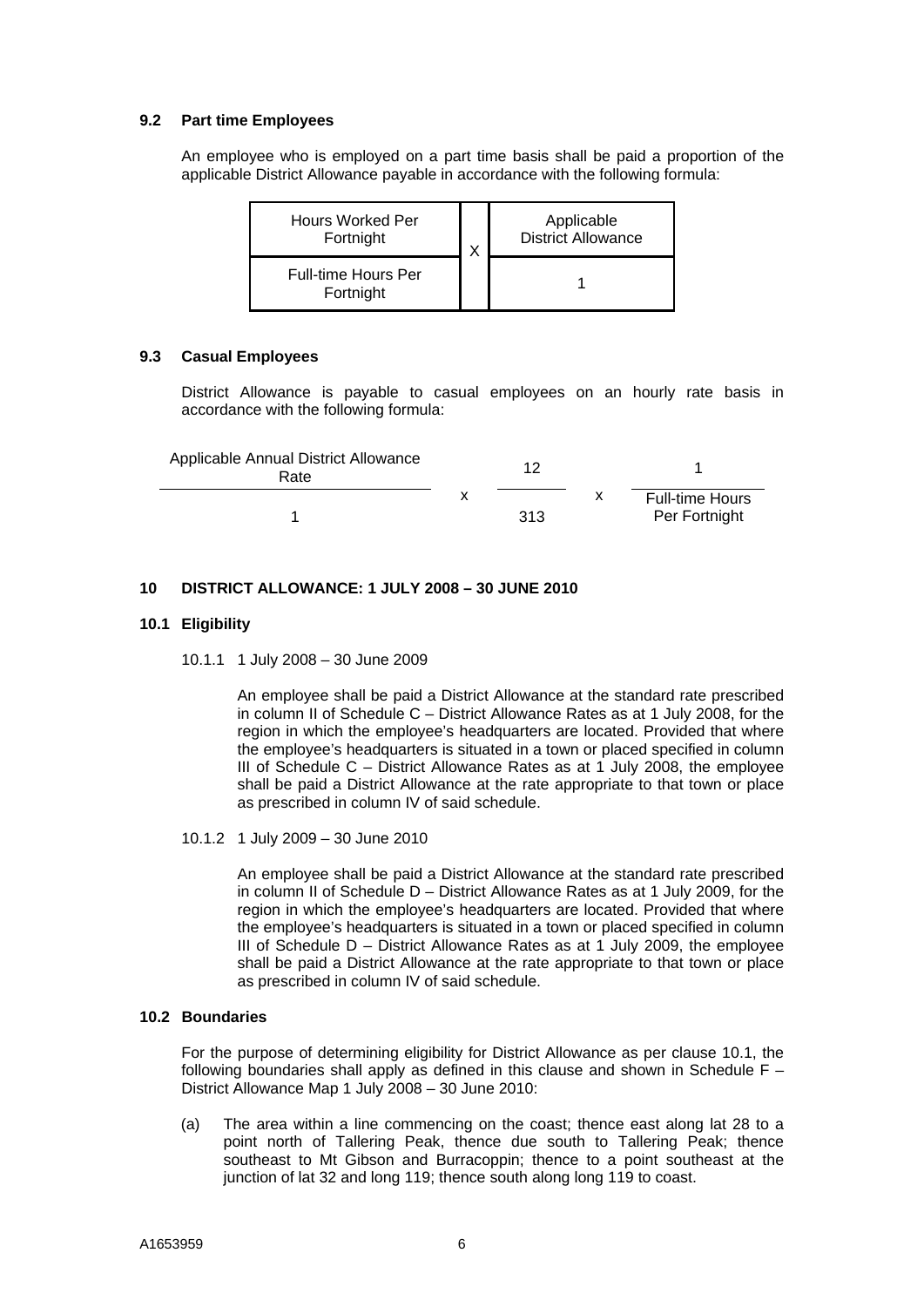#### **9.2 Part time Employees**

An employee who is employed on a part time basis shall be paid a proportion of the applicable District Allowance payable in accordance with the following formula:

| <b>Hours Worked Per</b>                 |  | Applicable                |  |
|-----------------------------------------|--|---------------------------|--|
| Fortnight                               |  | <b>District Allowance</b> |  |
| <b>Full-time Hours Per</b><br>Fortnight |  |                           |  |

#### **9.3 Casual Employees**

District Allowance is payable to casual employees on an hourly rate basis in accordance with the following formula:

| Applicable Annual District Allowance<br>Rate | 12  |                                         |
|----------------------------------------------|-----|-----------------------------------------|
|                                              | 313 | <b>Full-time Hours</b><br>Per Fortnight |

#### **10 DISTRICT ALLOWANCE: 1 JULY 2008 – 30 JUNE 2010**

#### **10.1 Eligibility**

10.1.1 1 July 2008 – 30 June 2009

 An employee shall be paid a District Allowance at the standard rate prescribed in column II of Schedule C – District Allowance Rates as at 1 July 2008, for the region in which the employee's headquarters are located. Provided that where the employee's headquarters is situated in a town or placed specified in column III of Schedule C – District Allowance Rates as at 1 July 2008, the employee shall be paid a District Allowance at the rate appropriate to that town or place as prescribed in column IV of said schedule.

10.1.2 1 July 2009 – 30 June 2010

An employee shall be paid a District Allowance at the standard rate prescribed in column II of Schedule D – District Allowance Rates as at 1 July 2009, for the region in which the employee's headquarters are located. Provided that where the employee's headquarters is situated in a town or placed specified in column III of Schedule D – District Allowance Rates as at 1 July 2009, the employee shall be paid a District Allowance at the rate appropriate to that town or place as prescribed in column IV of said schedule.

#### **10.2 Boundaries**

 For the purpose of determining eligibility for District Allowance as per clause 10.1, the following boundaries shall apply as defined in this clause and shown in Schedule  $F -$ District Allowance Map 1 July 2008 – 30 June 2010:

(a) The area within a line commencing on the coast; thence east along lat 28 to a point north of Tallering Peak, thence due south to Tallering Peak; thence southeast to Mt Gibson and Burracoppin; thence to a point southeast at the junction of lat 32 and long 119; thence south along long 119 to coast.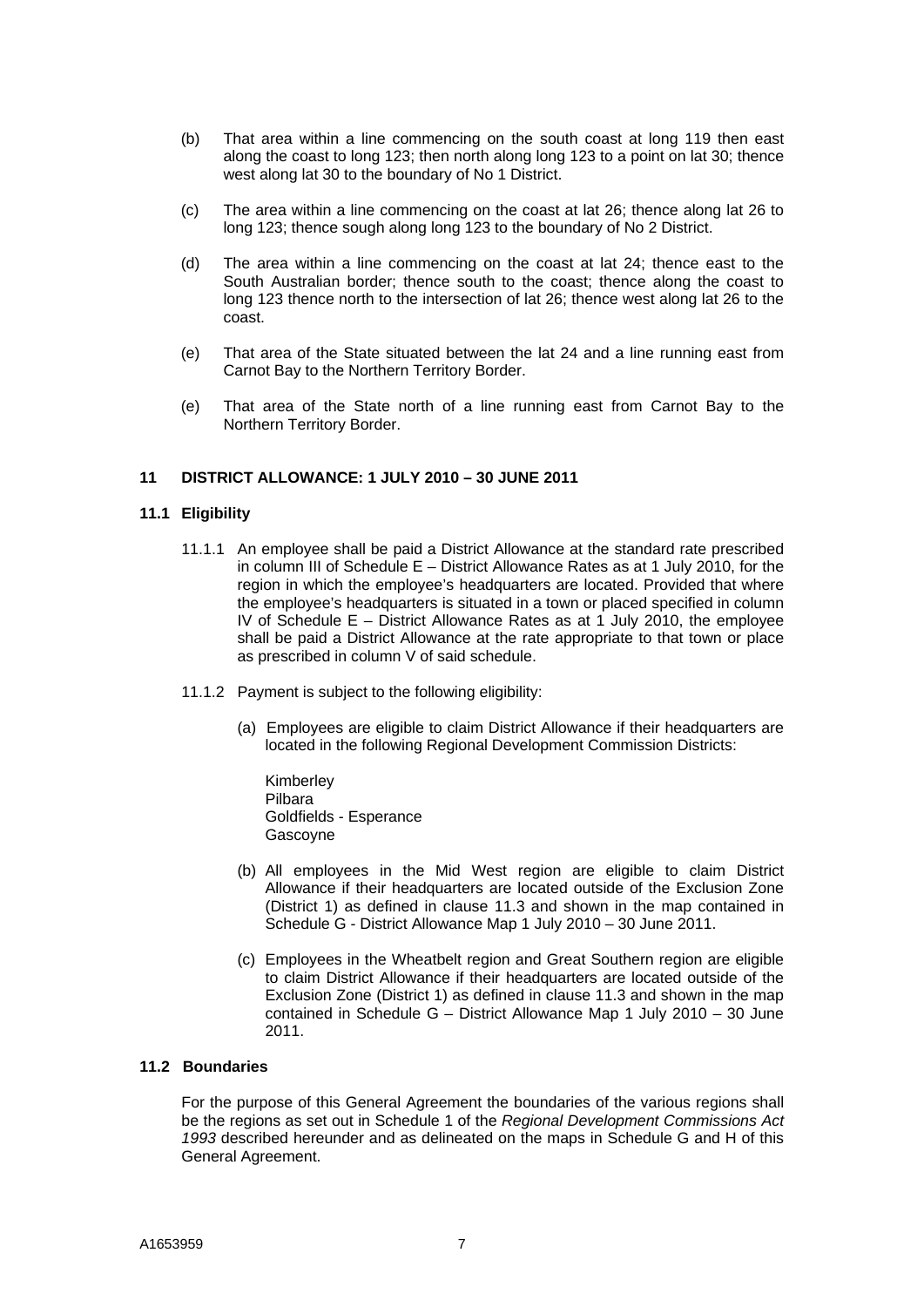- (b) That area within a line commencing on the south coast at long 119 then east along the coast to long 123; then north along long 123 to a point on lat 30; thence west along lat 30 to the boundary of No 1 District.
- (c) The area within a line commencing on the coast at lat 26; thence along lat 26 to long 123; thence sough along long 123 to the boundary of No 2 District.
- (d) The area within a line commencing on the coast at lat 24; thence east to the South Australian border; thence south to the coast; thence along the coast to long 123 thence north to the intersection of lat 26; thence west along lat 26 to the coast.
- (e) That area of the State situated between the lat 24 and a line running east from Carnot Bay to the Northern Territory Border.
- (e) That area of the State north of a line running east from Carnot Bay to the Northern Territory Border.

#### **11 DISTRICT ALLOWANCE: 1 JULY 2010 – 30 JUNE 2011**

#### **11.1 Eligibility**

- 11.1.1 An employee shall be paid a District Allowance at the standard rate prescribed in column III of Schedule E – District Allowance Rates as at 1 July 2010, for the region in which the employee's headquarters are located. Provided that where the employee's headquarters is situated in a town or placed specified in column IV of Schedule  $E -$  District Allowance Rates as at 1 July 2010, the employee shall be paid a District Allowance at the rate appropriate to that town or place as prescribed in column V of said schedule.
- 11.1.2 Payment is subject to the following eligibility:
	- (a) Employees are eligible to claim District Allowance if their headquarters are located in the following Regional Development Commission Districts:
		- Kimberley Pilbara Goldfields - Esperance Gascoyne
	- (b) All employees in the Mid West region are eligible to claim District Allowance if their headquarters are located outside of the Exclusion Zone (District 1) as defined in clause 11.3 and shown in the map contained in Schedule G - District Allowance Map 1 July 2010 – 30 June 2011.
	- (c) Employees in the Wheatbelt region and Great Southern region are eligible to claim District Allowance if their headquarters are located outside of the Exclusion Zone (District 1) as defined in clause 11.3 and shown in the map contained in Schedule G – District Allowance Map 1 July 2010 – 30 June 2011.

## **11.2 Boundaries**

For the purpose of this General Agreement the boundaries of the various regions shall be the regions as set out in Schedule 1 of the *Regional Development Commissions Act 1993* described hereunder and as delineated on the maps in Schedule G and H of this General Agreement.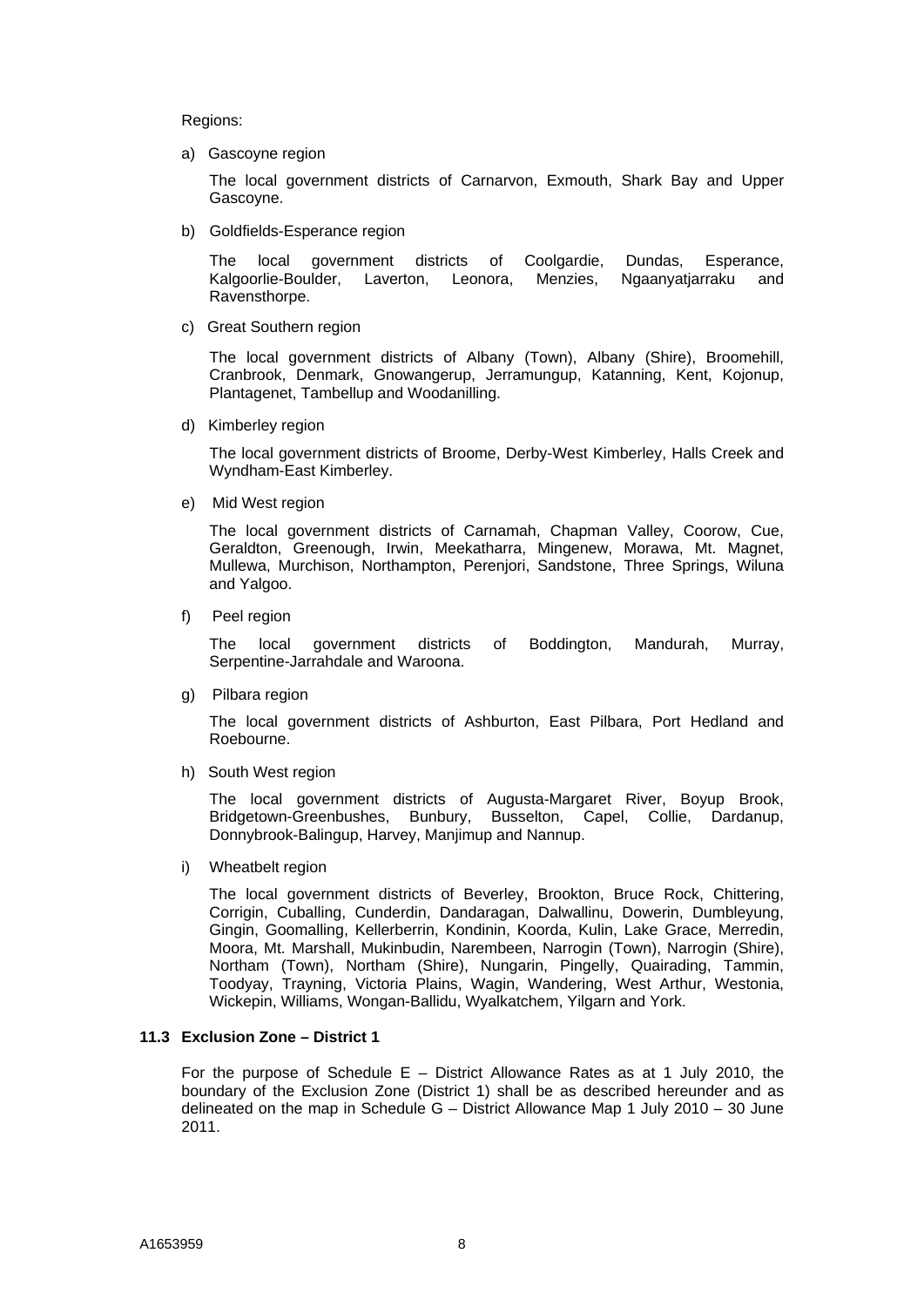Regions:

a) Gascoyne region

 The local government districts of Carnarvon, Exmouth, Shark Bay and Upper Gascoyne.

b) Goldfields-Esperance region

The local government districts of Coolgardie, Dundas, Esperance, Kalgoorlie-Boulder, Laverton, Leonora, Menzies, Ngaanyatjarraku and Ravensthorpe.

c) Great Southern region

The local government districts of Albany (Town), Albany (Shire), Broomehill, Cranbrook, Denmark, Gnowangerup, Jerramungup, Katanning, Kent, Kojonup, Plantagenet, Tambellup and Woodanilling.

d) Kimberley region

The local government districts of Broome, Derby-West Kimberley, Halls Creek and Wyndham-East Kimberley.

e) Mid West region

The local government districts of Carnamah, Chapman Valley, Coorow, Cue, Geraldton, Greenough, Irwin, Meekatharra, Mingenew, Morawa, Mt. Magnet, Mullewa, Murchison, Northampton, Perenjori, Sandstone, Three Springs, Wiluna and Yalgoo.

f) Peel region

The local government districts of Boddington, Mandurah, Murray, Serpentine-Jarrahdale and Waroona.

g) Pilbara region

The local government districts of Ashburton, East Pilbara, Port Hedland and Roebourne.

h) South West region

The local government districts of Augusta-Margaret River, Boyup Brook, Bridgetown-Greenbushes, Bunbury, Busselton, Capel, Collie, Dardanup, Donnybrook-Balingup, Harvey, Manjimup and Nannup.

i) Wheatbelt region

The local government districts of Beverley, Brookton, Bruce Rock, Chittering, Corrigin, Cuballing, Cunderdin, Dandaragan, Dalwallinu, Dowerin, Dumbleyung, Gingin, Goomalling, Kellerberrin, Kondinin, Koorda, Kulin, Lake Grace, Merredin, Moora, Mt. Marshall, Mukinbudin, Narembeen, Narrogin (Town), Narrogin (Shire), Northam (Town), Northam (Shire), Nungarin, Pingelly, Quairading, Tammin, Toodyay, Trayning, Victoria Plains, Wagin, Wandering, West Arthur, Westonia, Wickepin, Williams, Wongan-Ballidu, Wyalkatchem, Yilgarn and York.

#### **11.3 Exclusion Zone – District 1**

For the purpose of Schedule  $E -$  District Allowance Rates as at 1 July 2010, the boundary of the Exclusion Zone (District 1) shall be as described hereunder and as delineated on the map in Schedule G – District Allowance Map 1 July 2010 – 30 June 2011.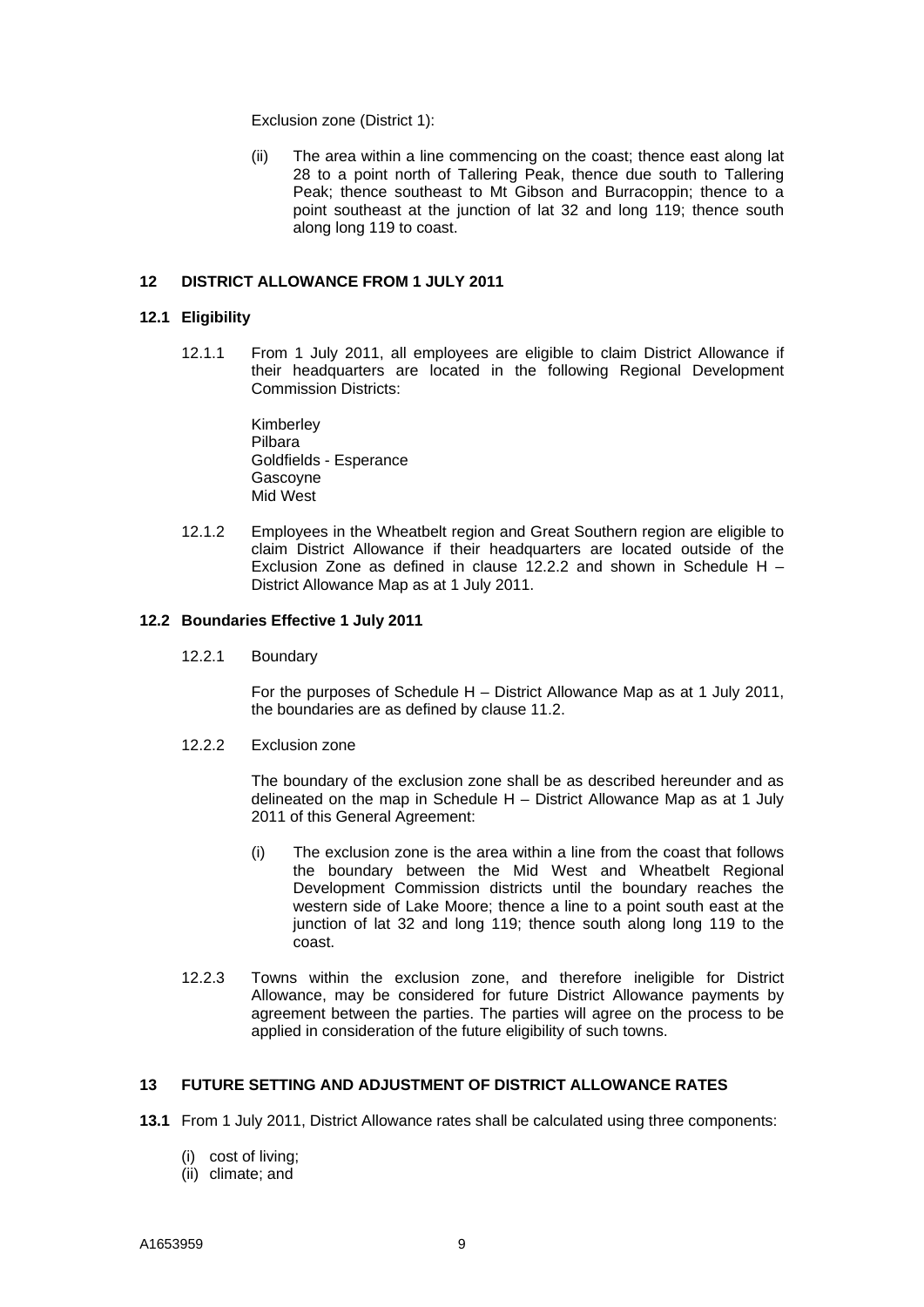Exclusion zone (District 1):

(ii) The area within a line commencing on the coast; thence east along lat 28 to a point north of Tallering Peak, thence due south to Tallering Peak; thence southeast to Mt Gibson and Burracoppin; thence to a point southeast at the junction of lat 32 and long 119; thence south along long 119 to coast.

#### **12 DISTRICT ALLOWANCE FROM 1 JULY 2011**

#### **12.1 Eligibility**

12.1.1 From 1 July 2011, all employees are eligible to claim District Allowance if their headquarters are located in the following Regional Development Commission Districts:

> Kimberley Pilbara Goldfields - Esperance Gascoyne Mid West

12.1.2 Employees in the Wheatbelt region and Great Southern region are eligible to claim District Allowance if their headquarters are located outside of the Exclusion Zone as defined in clause 12.2.2 and shown in Schedule H – District Allowance Map as at 1 July 2011.

#### **12.2 Boundaries Effective 1 July 2011**

12.2.1 Boundary

 For the purposes of Schedule H – District Allowance Map as at 1 July 2011, the boundaries are as defined by clause 11.2.

#### 12.2.2 Exclusion zone

The boundary of the exclusion zone shall be as described hereunder and as delineated on the map in Schedule H – District Allowance Map as at 1 July 2011 of this General Agreement:

- (i) The exclusion zone is the area within a line from the coast that follows the boundary between the Mid West and Wheatbelt Regional Development Commission districts until the boundary reaches the western side of Lake Moore; thence a line to a point south east at the junction of lat 32 and long 119; thence south along long 119 to the coast.
- 12.2.3 Towns within the exclusion zone, and therefore ineligible for District Allowance, may be considered for future District Allowance payments by agreement between the parties. The parties will agree on the process to be applied in consideration of the future eligibility of such towns.

#### **13 FUTURE SETTING AND ADJUSTMENT OF DISTRICT ALLOWANCE RATES**

- **13.1** From 1 July 2011, District Allowance rates shall be calculated using three components:
	- (i) cost of living;
	- (ii) climate; and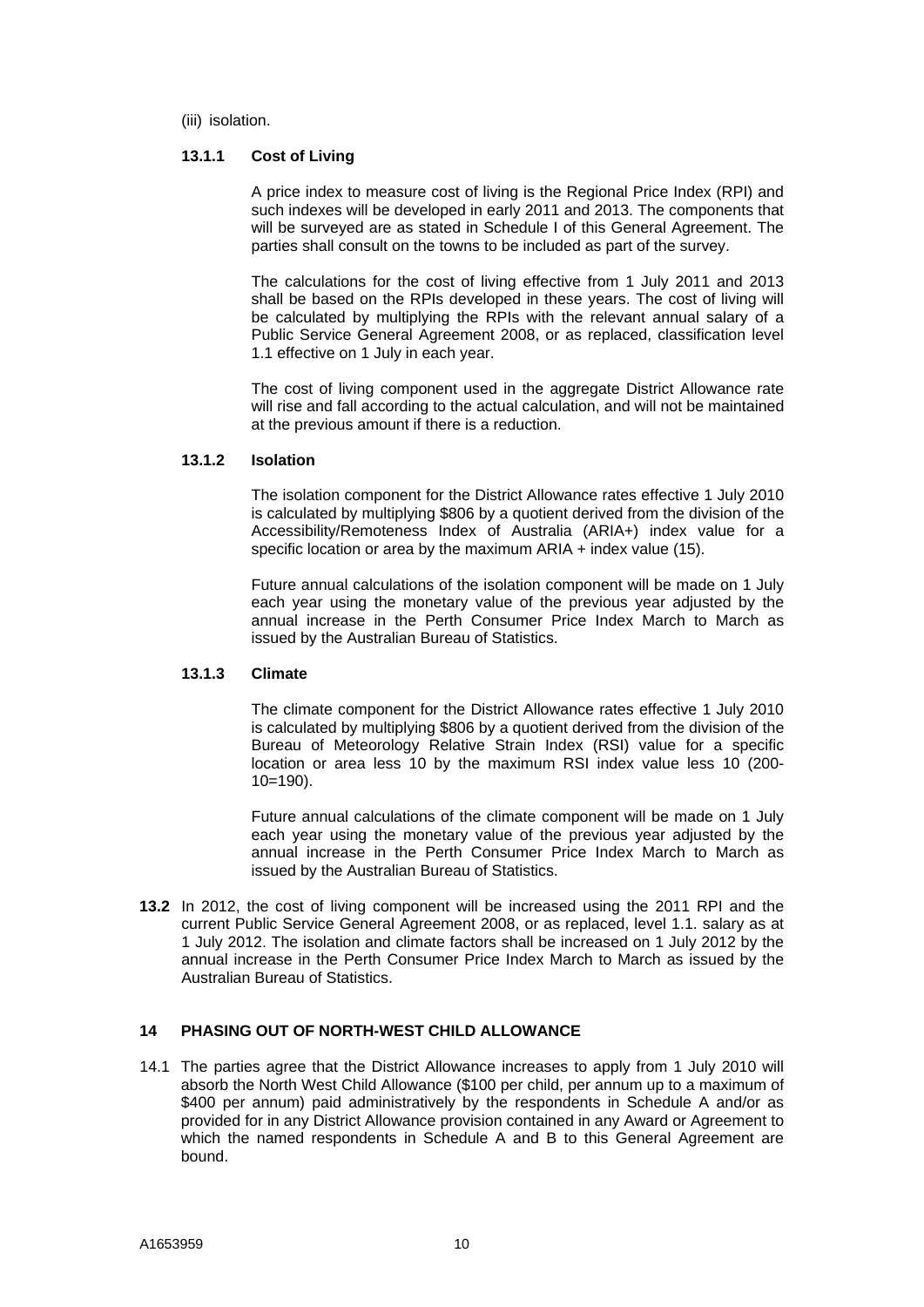(iii) isolation.

#### **13.1.1 Cost of Living**

A price index to measure cost of living is the Regional Price Index (RPI) and such indexes will be developed in early 2011 and 2013. The components that will be surveyed are as stated in Schedule I of this General Agreement. The parties shall consult on the towns to be included as part of the survey.

The calculations for the cost of living effective from 1 July 2011 and 2013 shall be based on the RPIs developed in these years. The cost of living will be calculated by multiplying the RPIs with the relevant annual salary of a Public Service General Agreement 2008, or as replaced, classification level 1.1 effective on 1 July in each year.

The cost of living component used in the aggregate District Allowance rate will rise and fall according to the actual calculation, and will not be maintained at the previous amount if there is a reduction.

#### **13.1.2 Isolation**

The isolation component for the District Allowance rates effective 1 July 2010 is calculated by multiplying \$806 by a quotient derived from the division of the Accessibility/Remoteness Index of Australia (ARIA+) index value for a specific location or area by the maximum ARIA + index value (15).

Future annual calculations of the isolation component will be made on 1 July each year using the monetary value of the previous year adjusted by the annual increase in the Perth Consumer Price Index March to March as issued by the Australian Bureau of Statistics.

#### **13.1.3 Climate**

The climate component for the District Allowance rates effective 1 July 2010 is calculated by multiplying \$806 by a quotient derived from the division of the Bureau of Meteorology Relative Strain Index (RSI) value for a specific location or area less 10 by the maximum RSI index value less 10 (200-  $10=190$ ).

Future annual calculations of the climate component will be made on 1 July each year using the monetary value of the previous year adjusted by the annual increase in the Perth Consumer Price Index March to March as issued by the Australian Bureau of Statistics.

**13.2** In 2012, the cost of living component will be increased using the 2011 RPI and the current Public Service General Agreement 2008, or as replaced, level 1.1. salary as at 1 July 2012. The isolation and climate factors shall be increased on 1 July 2012 by the annual increase in the Perth Consumer Price Index March to March as issued by the Australian Bureau of Statistics.

## **14 PHASING OUT OF NORTH-WEST CHILD ALLOWANCE**

14.1 The parties agree that the District Allowance increases to apply from 1 July 2010 will absorb the North West Child Allowance (\$100 per child, per annum up to a maximum of \$400 per annum) paid administratively by the respondents in Schedule A and/or as provided for in any District Allowance provision contained in any Award or Agreement to which the named respondents in Schedule A and B to this General Agreement are bound.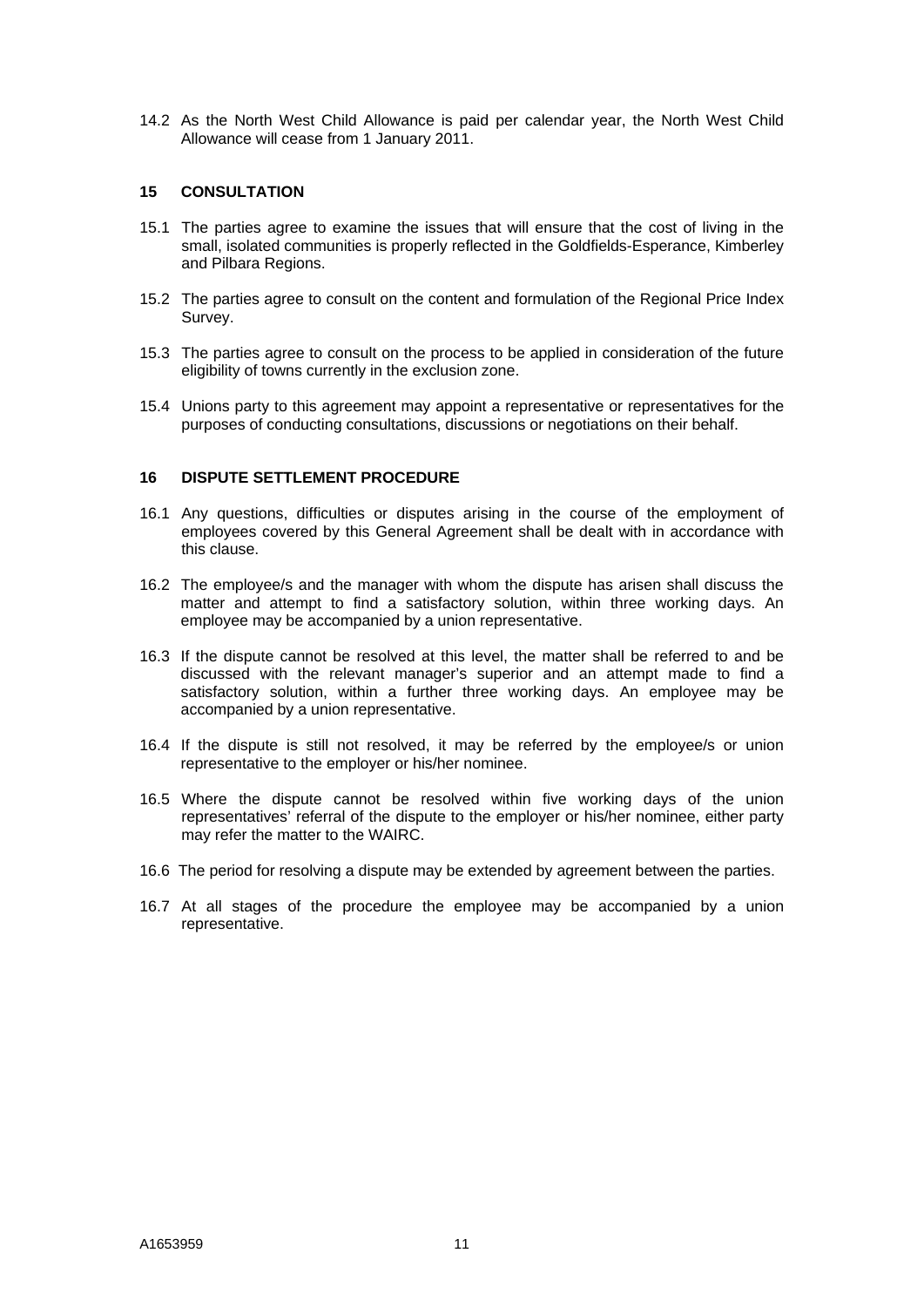14.2 As the North West Child Allowance is paid per calendar year, the North West Child Allowance will cease from 1 January 2011.

#### **15 CONSULTATION**

- 15.1 The parties agree to examine the issues that will ensure that the cost of living in the small, isolated communities is properly reflected in the Goldfields-Esperance, Kimberley and Pilbara Regions.
- 15.2 The parties agree to consult on the content and formulation of the Regional Price Index Survey.
- 15.3 The parties agree to consult on the process to be applied in consideration of the future eligibility of towns currently in the exclusion zone.
- 15.4 Unions party to this agreement may appoint a representative or representatives for the purposes of conducting consultations, discussions or negotiations on their behalf.

#### **16 DISPUTE SETTLEMENT PROCEDURE**

- 16.1 Any questions, difficulties or disputes arising in the course of the employment of employees covered by this General Agreement shall be dealt with in accordance with this clause.
- 16.2 The employee/s and the manager with whom the dispute has arisen shall discuss the matter and attempt to find a satisfactory solution, within three working days. An employee may be accompanied by a union representative.
- 16.3 If the dispute cannot be resolved at this level, the matter shall be referred to and be discussed with the relevant manager's superior and an attempt made to find a satisfactory solution, within a further three working days. An employee may be accompanied by a union representative.
- 16.4 If the dispute is still not resolved, it may be referred by the employee/s or union representative to the employer or his/her nominee.
- 16.5 Where the dispute cannot be resolved within five working days of the union representatives' referral of the dispute to the employer or his/her nominee, either party may refer the matter to the WAIRC.
- 16.6 The period for resolving a dispute may be extended by agreement between the parties.
- 16.7 At all stages of the procedure the employee may be accompanied by a union representative.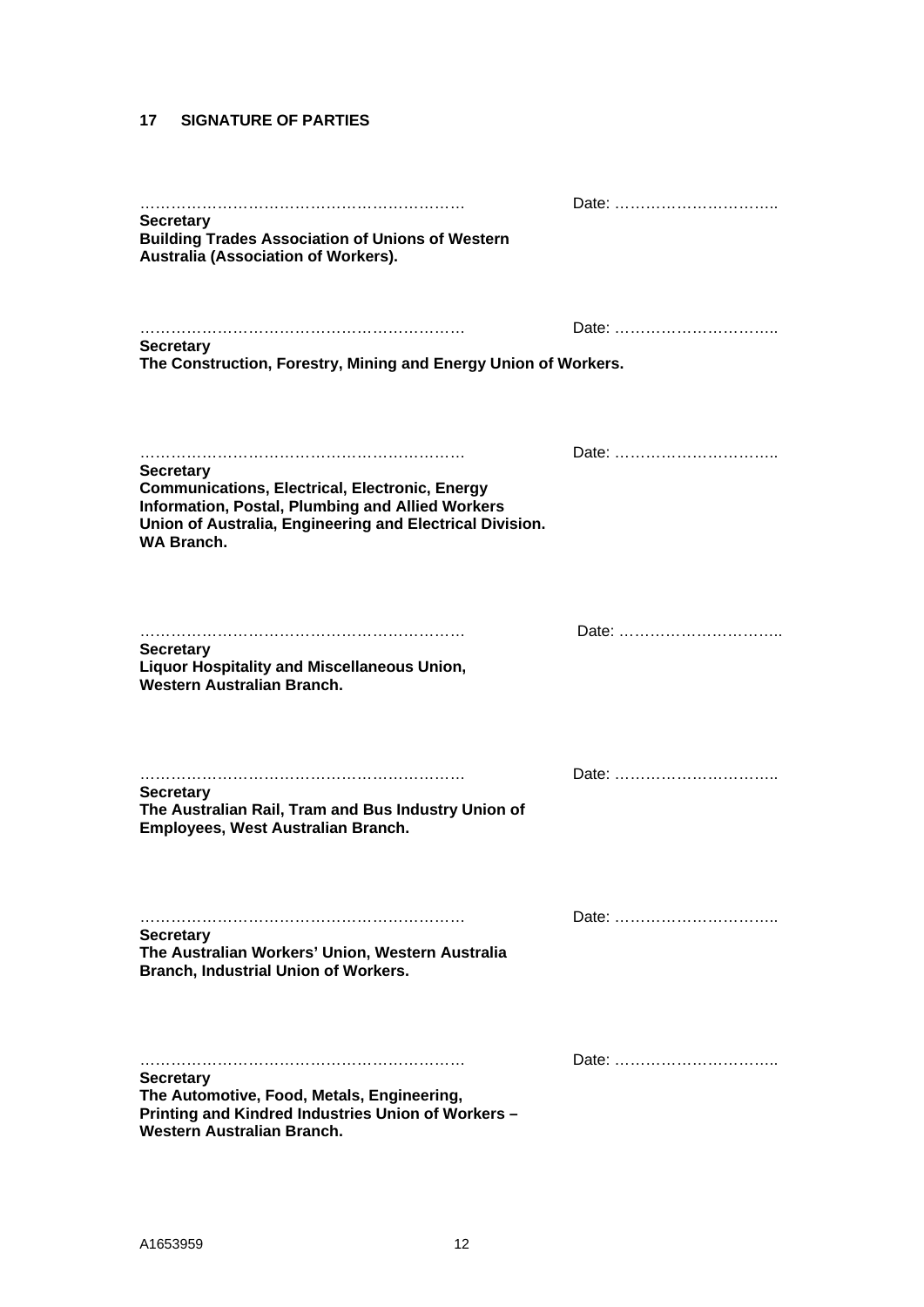## **17 SIGNATURE OF PARTIES**

| <b>Secretary</b><br><b>Building Trades Association of Unions of Western</b><br>Australia (Association of Workers).                                                                                             |       |
|----------------------------------------------------------------------------------------------------------------------------------------------------------------------------------------------------------------|-------|
| <b>Secretary</b><br>The Construction, Forestry, Mining and Energy Union of Workers.                                                                                                                            | Date: |
| <b>Secretary</b><br><b>Communications, Electrical, Electronic, Energy</b><br>Information, Postal, Plumbing and Allied Workers<br>Union of Australia, Engineering and Electrical Division.<br><b>WA Branch.</b> | Date: |
| <b>Secretary</b><br>Liquor Hospitality and Miscellaneous Union,<br>Western Australian Branch.                                                                                                                  | Date: |
| <b>Secretary</b><br>The Australian Rail, Tram and Bus Industry Union of<br>Employees, West Australian Branch.                                                                                                  | Date: |
| <b>Secretary</b><br>The Australian Workers' Union, Western Australia<br>Branch, Industrial Union of Workers.                                                                                                   | Date: |
| <b>Secretary</b><br>The Automotive, Food, Metals, Engineering,<br>Printing and Kindred Industries Union of Workers -<br>Western Australian Branch.                                                             | Date: |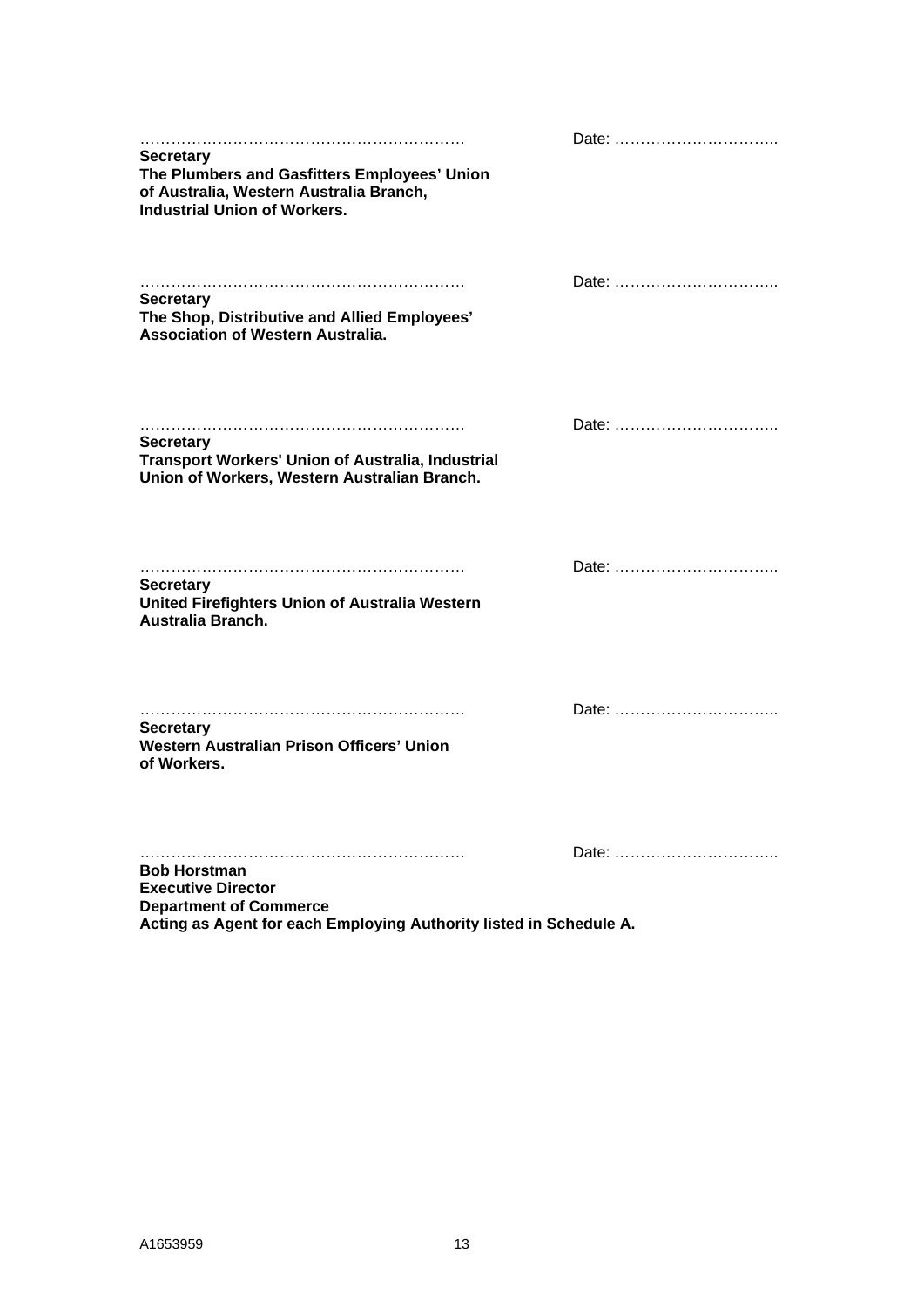| <b>Secretary</b><br>The Plumbers and Gasfitters Employees' Union<br>of Australia, Western Australia Branch,<br><b>Industrial Union of Workers.</b>      | Date: |
|---------------------------------------------------------------------------------------------------------------------------------------------------------|-------|
| <b>Secretary</b><br>The Shop, Distributive and Allied Employees'<br><b>Association of Western Australia.</b>                                            | Date: |
| <b>Secretary</b><br>Transport Workers' Union of Australia, Industrial<br>Union of Workers, Western Australian Branch.                                   | Date: |
| <b>Secretary</b><br>United Firefighters Union of Australia Western<br>Australia Branch.                                                                 | Date: |
| <b>Secretary</b><br>Western Australian Prison Officers' Union<br>of Workers.                                                                            | Date: |
| <b>Bob Horstman</b><br><b>Executive Director</b><br><b>Department of Commerce</b><br>Acting as Agent for each Employing Authority listed in Schedule A. | Date: |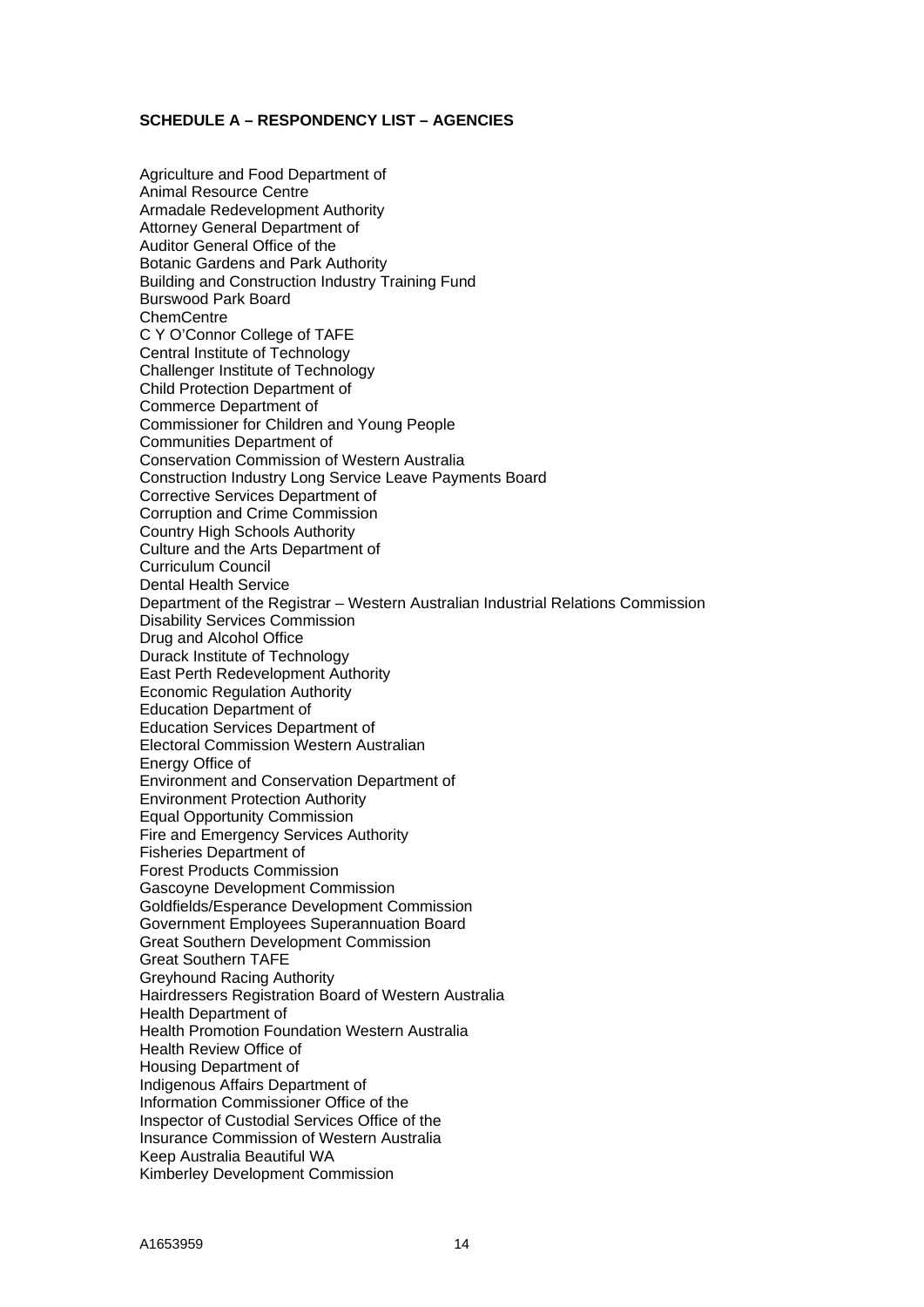#### **SCHEDULE A – RESPONDENCY LIST – AGENCIES**

Agriculture and Food Department of Animal Resource Centre Armadale Redevelopment Authority Attorney General Department of Auditor General Office of the Botanic Gardens and Park Authority Building and Construction Industry Training Fund Burswood Park Board **ChemCentre** C Y O'Connor College of TAFE Central Institute of Technology Challenger Institute of Technology Child Protection Department of Commerce Department of Commissioner for Children and Young People Communities Department of Conservation Commission of Western Australia Construction Industry Long Service Leave Payments Board Corrective Services Department of Corruption and Crime Commission Country High Schools Authority Culture and the Arts Department of Curriculum Council Dental Health Service Department of the Registrar – Western Australian Industrial Relations Commission Disability Services Commission Drug and Alcohol Office Durack Institute of Technology East Perth Redevelopment Authority Economic Regulation Authority Education Department of Education Services Department of Electoral Commission Western Australian Energy Office of Environment and Conservation Department of Environment Protection Authority Equal Opportunity Commission Fire and Emergency Services Authority Fisheries Department of Forest Products Commission Gascoyne Development Commission Goldfields/Esperance Development Commission Government Employees Superannuation Board Great Southern Development Commission Great Southern TAFE Greyhound Racing Authority Hairdressers Registration Board of Western Australia Health Department of Health Promotion Foundation Western Australia Health Review Office of Housing Department of Indigenous Affairs Department of Information Commissioner Office of the Inspector of Custodial Services Office of the Insurance Commission of Western Australia Keep Australia Beautiful WA Kimberley Development Commission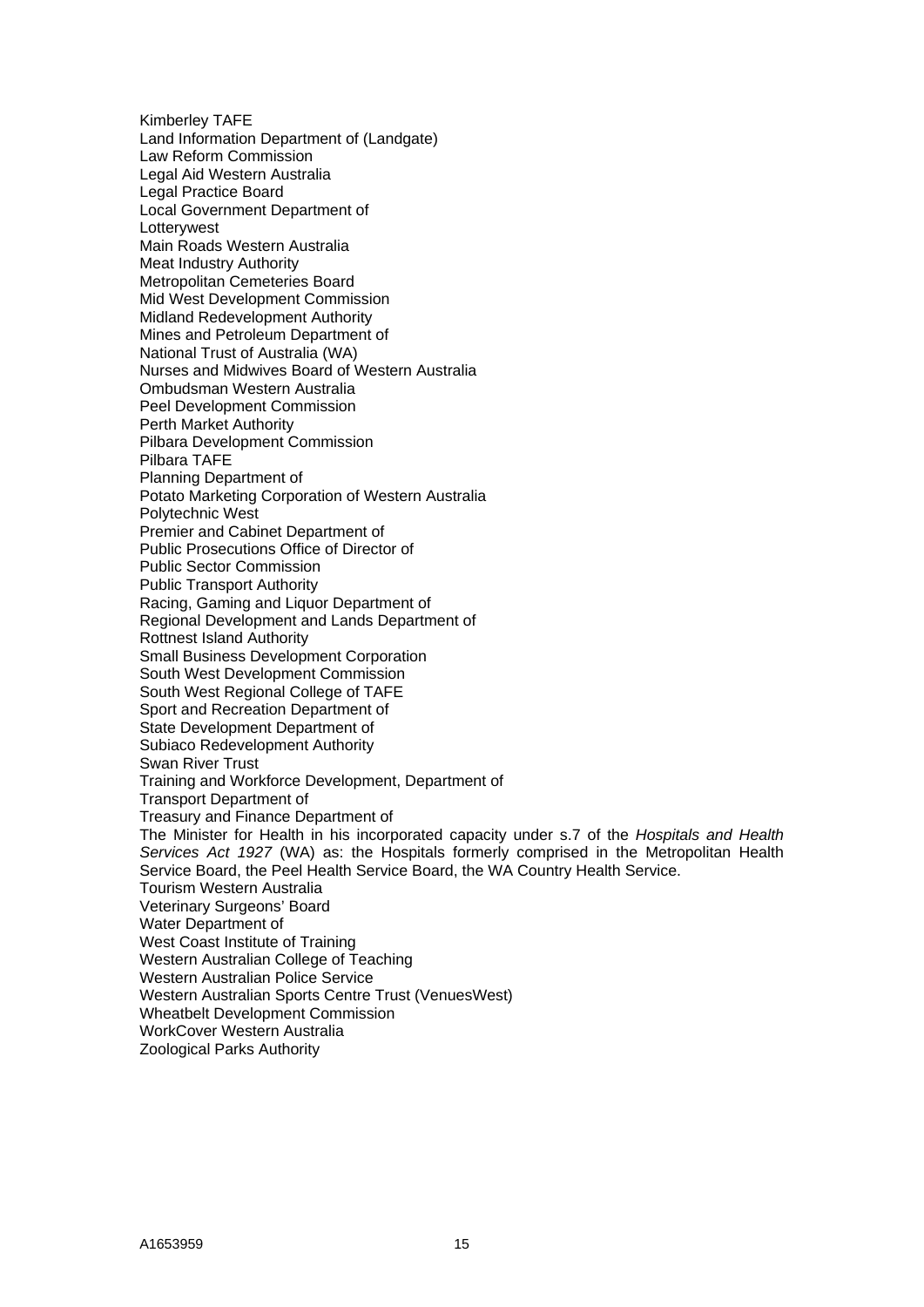Kimberley TAFE Land Information Department of (Landgate) Law Reform Commission Legal Aid Western Australia Legal Practice Board Local Government Department of **Lottervwest** Main Roads Western Australia Meat Industry Authority Metropolitan Cemeteries Board Mid West Development Commission Midland Redevelopment Authority Mines and Petroleum Department of National Trust of Australia (WA) Nurses and Midwives Board of Western Australia Ombudsman Western Australia Peel Development Commission Perth Market Authority Pilbara Development Commission Pilbara TAFE Planning Department of Potato Marketing Corporation of Western Australia Polytechnic West Premier and Cabinet Department of Public Prosecutions Office of Director of Public Sector Commission Public Transport Authority Racing, Gaming and Liquor Department of Regional Development and Lands Department of Rottnest Island Authority Small Business Development Corporation South West Development Commission South West Regional College of TAFE Sport and Recreation Department of State Development Department of Subiaco Redevelopment Authority Swan River Trust Training and Workforce Development, Department of Transport Department of Treasury and Finance Department of The Minister for Health in his incorporated capacity under s.7 of the *Hospitals and Health Services Act 1927* (WA) as: the Hospitals formerly comprised in the Metropolitan Health Service Board, the Peel Health Service Board, the WA Country Health Service. Tourism Western Australia Veterinary Surgeons' Board Water Department of West Coast Institute of Training Western Australian College of Teaching Western Australian Police Service Western Australian Sports Centre Trust (VenuesWest) Wheatbelt Development Commission WorkCover Western Australia Zoological Parks Authority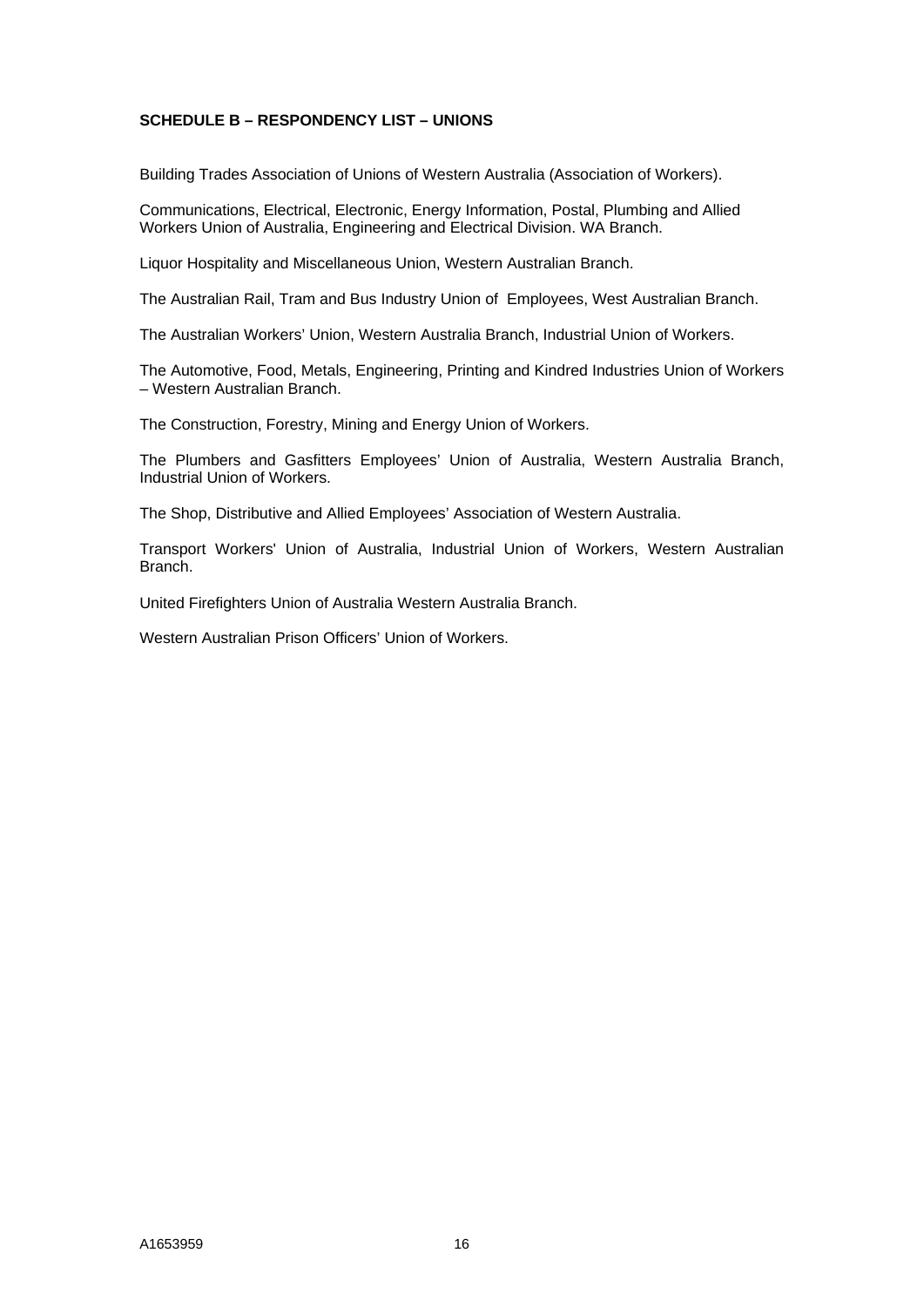# **SCHEDULE B – RESPONDENCY LIST – UNIONS**

Building Trades Association of Unions of Western Australia (Association of Workers).

Communications, Electrical, Electronic, Energy Information, Postal, Plumbing and Allied Workers Union of Australia, Engineering and Electrical Division. WA Branch.

Liquor Hospitality and Miscellaneous Union, Western Australian Branch.

The Australian Rail, Tram and Bus Industry Union of Employees, West Australian Branch.

The Australian Workers' Union, Western Australia Branch, Industrial Union of Workers.

The Automotive, Food, Metals, Engineering, Printing and Kindred Industries Union of Workers – Western Australian Branch.

The Construction, Forestry, Mining and Energy Union of Workers.

The Plumbers and Gasfitters Employees' Union of Australia, Western Australia Branch, Industrial Union of Workers.

The Shop, Distributive and Allied Employees' Association of Western Australia.

Transport Workers' Union of Australia, Industrial Union of Workers, Western Australian Branch.

United Firefighters Union of Australia Western Australia Branch.

Western Australian Prison Officers' Union of Workers.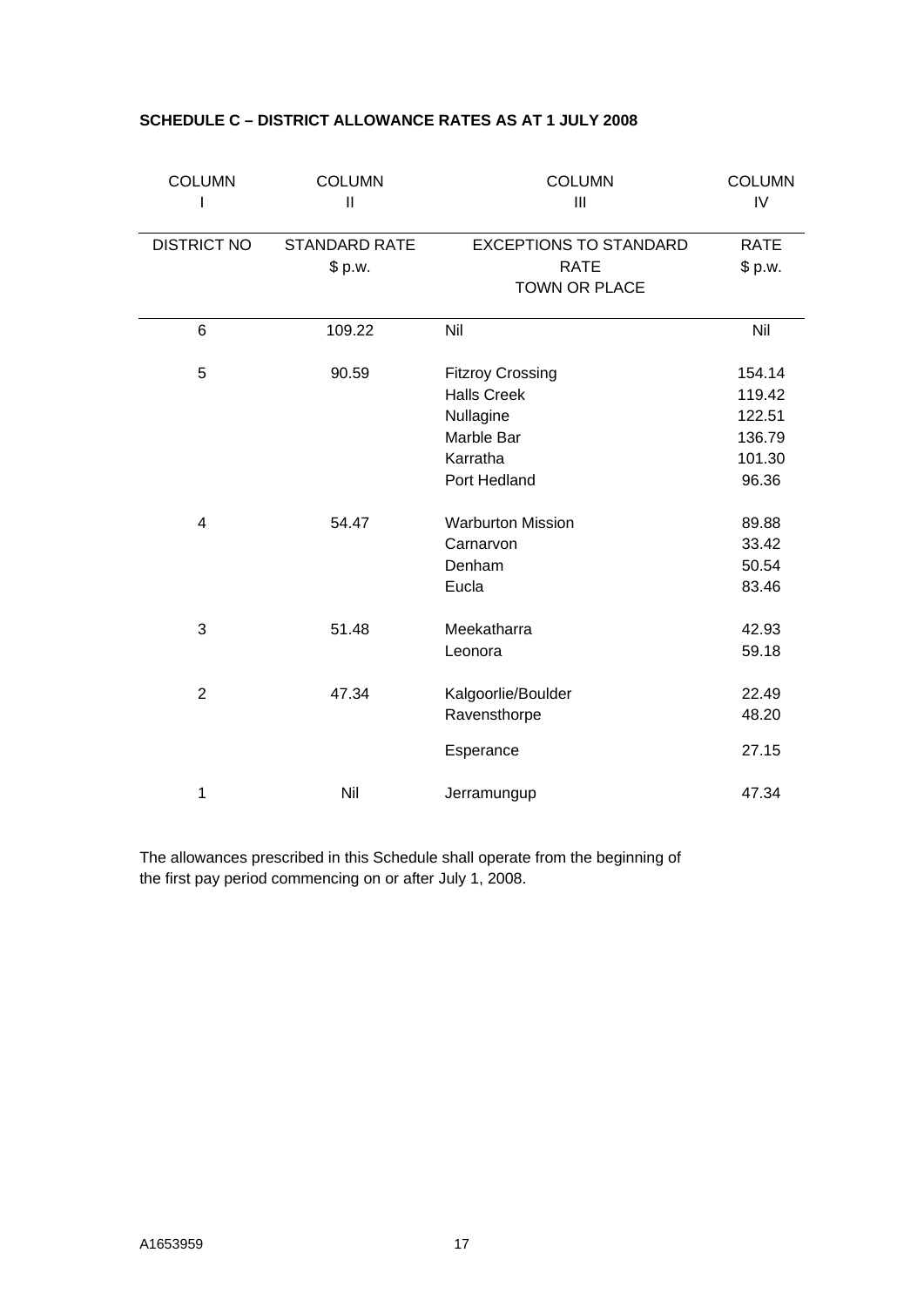| <b>COLUMN</b>           | <b>COLUMN</b><br>$\mathbf{  }$ | <b>COLUMN</b><br>III                | <b>COLUMN</b><br>IV |
|-------------------------|--------------------------------|-------------------------------------|---------------------|
| <b>DISTRICT NO</b>      | <b>STANDARD RATE</b>           | <b>EXCEPTIONS TO STANDARD</b>       | <b>RATE</b>         |
|                         | \$ p.w.                        | <b>RATE</b><br><b>TOWN OR PLACE</b> | \$ p.w.             |
| 6                       | 109.22                         | Nil                                 | Nil                 |
| 5                       | 90.59                          | <b>Fitzroy Crossing</b>             | 154.14              |
|                         |                                | <b>Halls Creek</b>                  | 119.42              |
|                         |                                | Nullagine                           | 122.51              |
|                         |                                | Marble Bar                          | 136.79              |
|                         |                                | Karratha                            | 101.30              |
|                         |                                | Port Hedland                        | 96.36               |
| $\overline{\mathbf{4}}$ | 54.47                          | <b>Warburton Mission</b>            | 89.88               |
|                         |                                | Carnarvon                           | 33.42               |
|                         |                                | Denham                              | 50.54               |
|                         |                                | Eucla                               | 83.46               |
| 3                       | 51.48                          | Meekatharra                         | 42.93               |
|                         |                                | Leonora                             | 59.18               |
| $\overline{2}$          | 47.34                          | Kalgoorlie/Boulder                  | 22.49               |
|                         |                                | Ravensthorpe                        | 48.20               |
|                         |                                | Esperance                           | 27.15               |
| 1                       | Nil                            | Jerramungup                         | 47.34               |

# **SCHEDULE C – DISTRICT ALLOWANCE RATES AS AT 1 JULY 2008**

The allowances prescribed in this Schedule shall operate from the beginning of the first pay period commencing on or after July 1, 2008.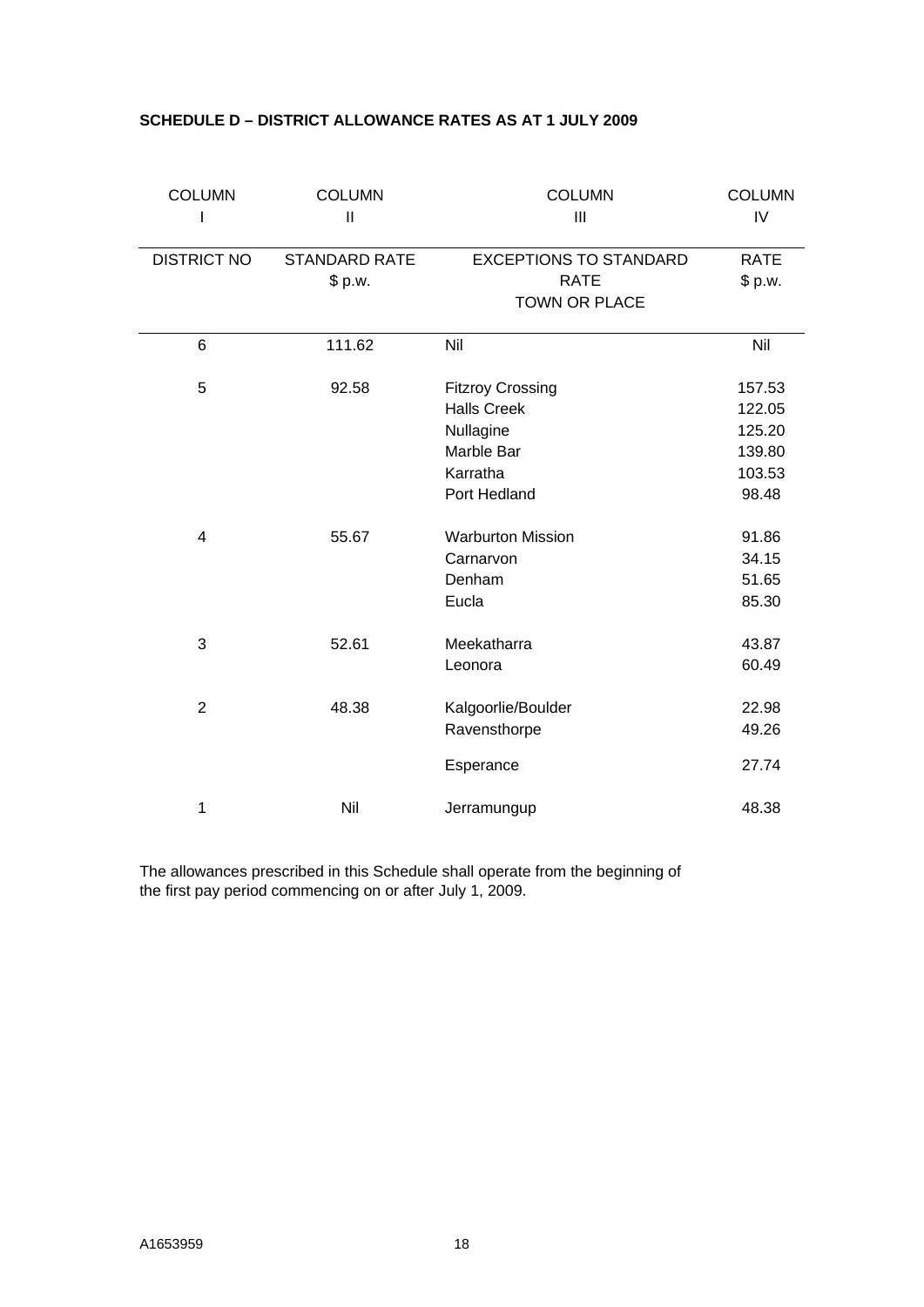| <b>COLUMN</b>      | <b>COLUMN</b><br>$\mathbf{I}$   | <b>COLUMN</b><br>III                         | <b>COLUMN</b><br>IV    |
|--------------------|---------------------------------|----------------------------------------------|------------------------|
| <b>DISTRICT NO</b> | <b>STANDARD RATE</b><br>\$ p.w. | <b>EXCEPTIONS TO STANDARD</b><br><b>RATE</b> | <b>RATE</b><br>\$ p.w. |
|                    |                                 | <b>TOWN OR PLACE</b>                         |                        |
| 6                  | 111.62                          | Nil                                          | Nil                    |
| 5                  | 92.58                           | <b>Fitzroy Crossing</b>                      | 157.53                 |
|                    |                                 | <b>Halls Creek</b>                           | 122.05                 |
|                    |                                 | Nullagine                                    | 125.20                 |
|                    |                                 | Marble Bar                                   | 139.80                 |
|                    |                                 | Karratha                                     | 103.53                 |
|                    |                                 | Port Hedland                                 | 98.48                  |
| $\overline{4}$     | 55.67                           | <b>Warburton Mission</b>                     | 91.86                  |
|                    |                                 | Carnarvon                                    | 34.15                  |
|                    |                                 | Denham                                       | 51.65                  |
|                    |                                 | Eucla                                        | 85.30                  |
| 3                  | 52.61                           | Meekatharra                                  | 43.87                  |
|                    |                                 | Leonora                                      | 60.49                  |
| $\overline{2}$     | 48.38                           | Kalgoorlie/Boulder                           | 22.98                  |
|                    |                                 | Ravensthorpe                                 | 49.26                  |
|                    |                                 | Esperance                                    | 27.74                  |
| 1                  | Nil                             | Jerramungup                                  | 48.38                  |

# **SCHEDULE D – DISTRICT ALLOWANCE RATES AS AT 1 JULY 2009**

The allowances prescribed in this Schedule shall operate from the beginning of the first pay period commencing on or after July 1, 2009.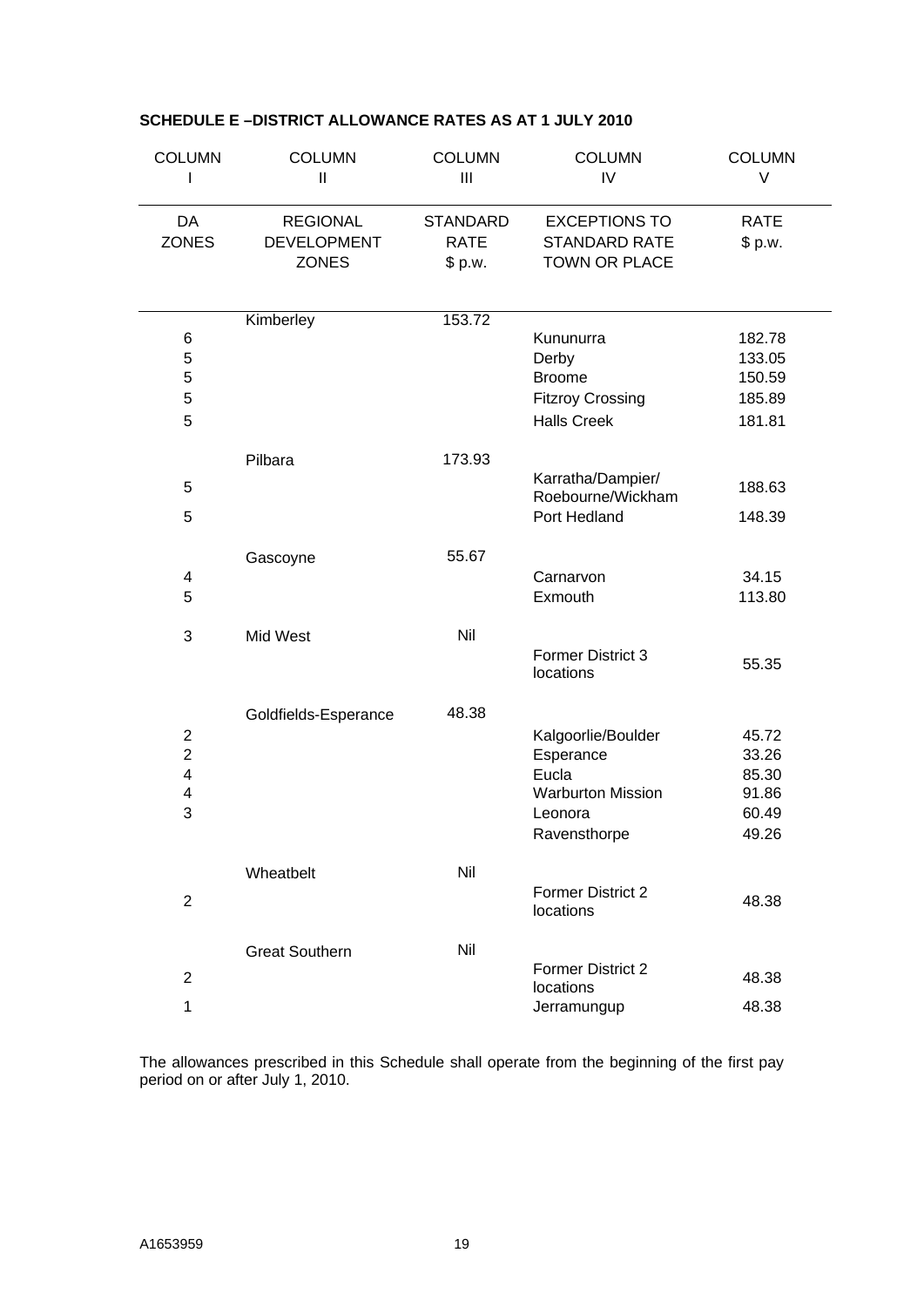| <b>COLUMN</b>           | <b>COLUMN</b><br>$\mathbf{  }$ | <b>COLUMN</b><br>III | <b>COLUMN</b><br>IV                    | <b>COLUMN</b><br>V |
|-------------------------|--------------------------------|----------------------|----------------------------------------|--------------------|
|                         |                                |                      |                                        |                    |
| DA                      | <b>REGIONAL</b>                | <b>STANDARD</b>      | <b>EXCEPTIONS TO</b>                   | <b>RATE</b>        |
| <b>ZONES</b>            | <b>DEVELOPMENT</b>             | <b>RATE</b>          | STANDARD RATE                          | \$ p.w.            |
|                         | <b>ZONES</b>                   | \$ p.w.              | TOWN OR PLACE                          |                    |
|                         |                                |                      |                                        |                    |
|                         | Kimberley                      | 153.72               |                                        |                    |
| 6<br>$\sqrt{5}$         |                                |                      | Kununurra                              | 182.78             |
| $\sqrt{5}$              |                                |                      | Derby<br><b>Broome</b>                 | 133.05<br>150.59   |
| 5                       |                                |                      | <b>Fitzroy Crossing</b>                | 185.89             |
| 5                       |                                |                      | <b>Halls Creek</b>                     | 181.81             |
|                         |                                |                      |                                        |                    |
|                         | Pilbara                        | 173.93               |                                        |                    |
| 5                       |                                |                      | Karratha/Dampier/<br>Roebourne/Wickham | 188.63             |
| 5                       |                                |                      | Port Hedland                           | 148.39             |
|                         | Gascoyne                       | 55.67                |                                        |                    |
| 4                       |                                |                      | Carnarvon                              | 34.15              |
| 5                       |                                |                      | Exmouth                                | 113.80             |
| 3                       | Mid West                       | Nil                  |                                        |                    |
|                         |                                |                      | <b>Former District 3</b>               |                    |
|                         |                                |                      | locations                              | 55.35              |
|                         | Goldfields-Esperance           | 48.38                |                                        |                    |
| $\mathbf 2$             |                                |                      | Kalgoorlie/Boulder                     | 45.72              |
| $\mathbf 2$             |                                |                      | Esperance                              | 33.26              |
| $\overline{\mathbf{4}}$ |                                |                      | Eucla                                  | 85.30              |
| 4                       |                                |                      | <b>Warburton Mission</b>               | 91.86              |
| 3                       |                                |                      | Leonora                                | 60.49              |
|                         |                                |                      | Ravensthorpe                           | 49.26              |
|                         | Wheatbelt                      | Nil                  |                                        |                    |
|                         |                                |                      | <b>Former District 2</b>               |                    |
| $\overline{2}$          |                                |                      | locations                              | 48.38              |
|                         | <b>Great Southern</b>          | Nil                  |                                        |                    |
| $\overline{2}$          |                                |                      | <b>Former District 2</b>               | 48.38              |
|                         |                                |                      | locations                              |                    |
| 1                       |                                |                      | Jerramungup                            | 48.38              |

# **SCHEDULE E –DISTRICT ALLOWANCE RATES AS AT 1 JULY 2010**

The allowances prescribed in this Schedule shall operate from the beginning of the first pay period on or after July 1, 2010.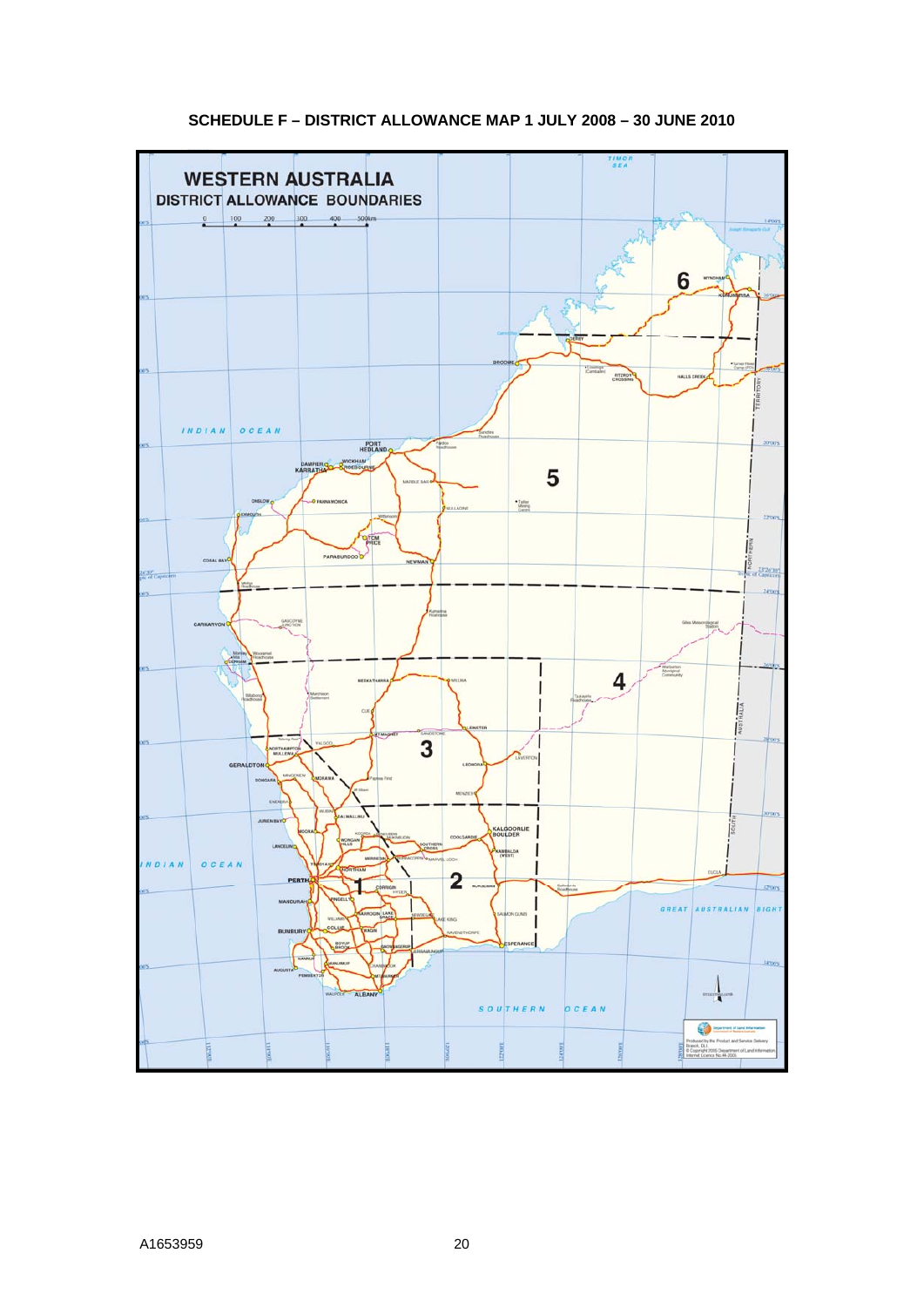# **SCHEDULE F – DISTRICT ALLOWANCE MAP 1 JULY 2008 – 30 JUNE 2010**

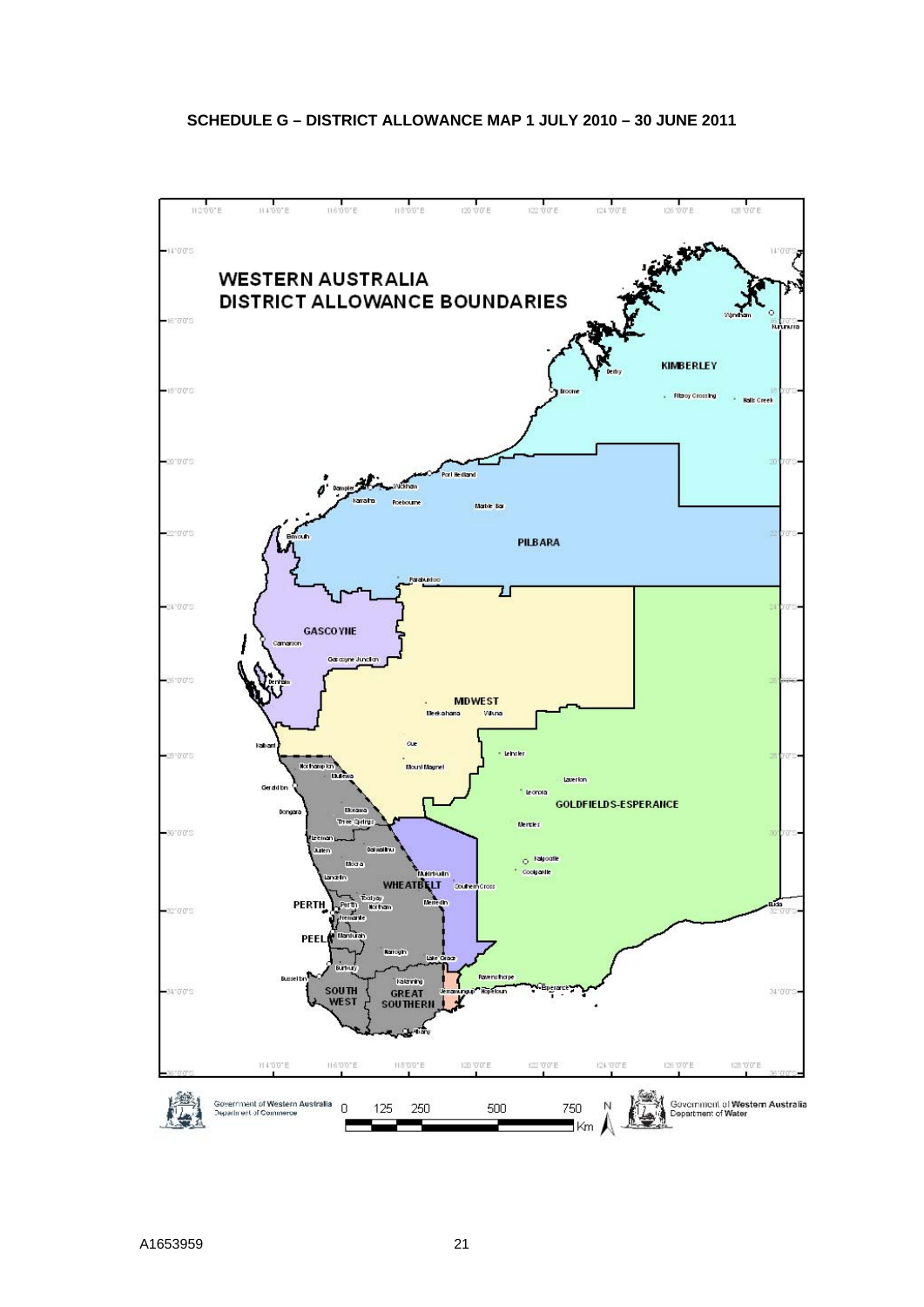# **SCHEDULE G – DISTRICT ALLOWANCE MAP 1 JULY 2010 – 30 JUNE 2011**

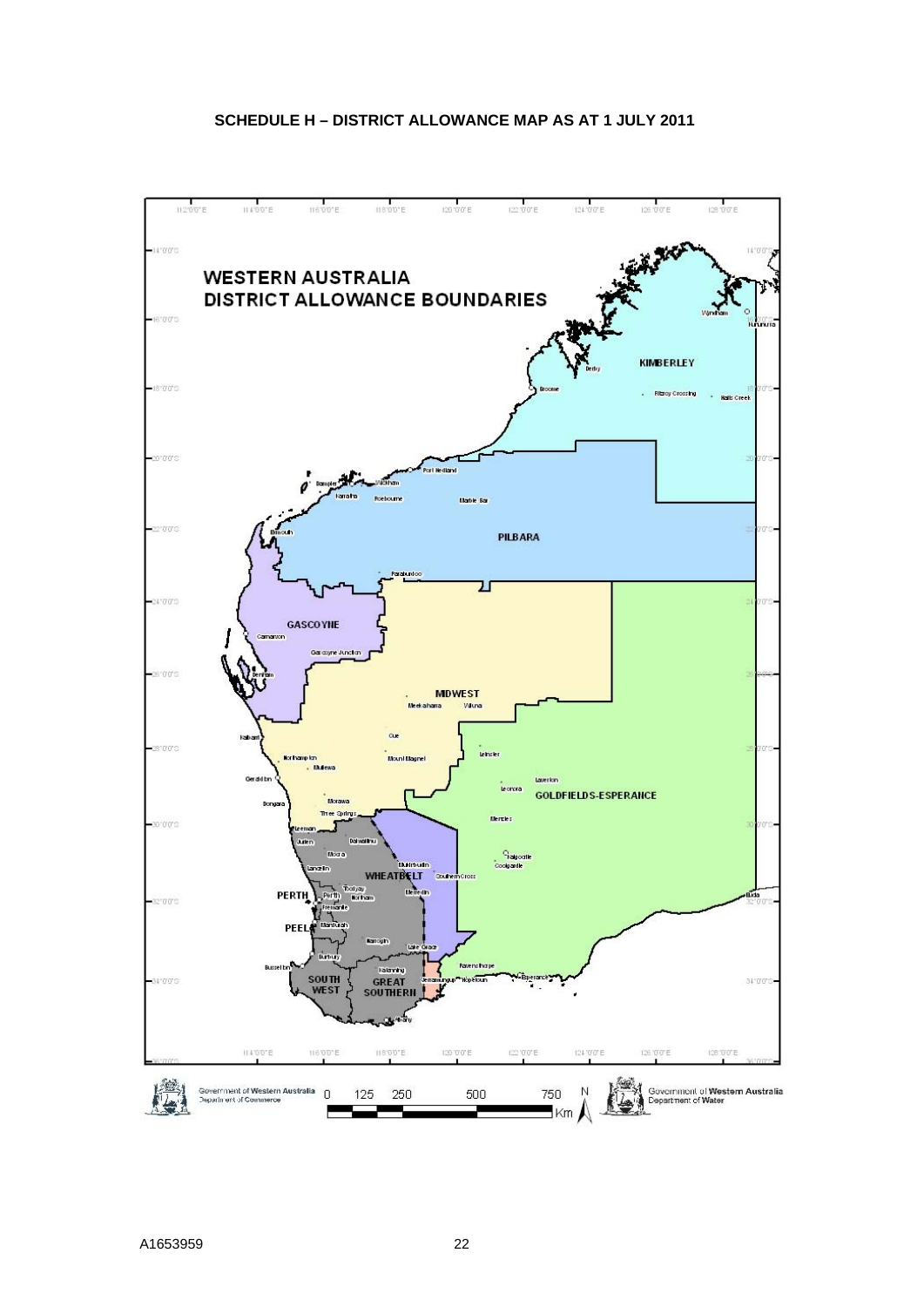# **SCHEDULE H – DISTRICT ALLOWANCE MAP AS AT 1 JULY 2011**

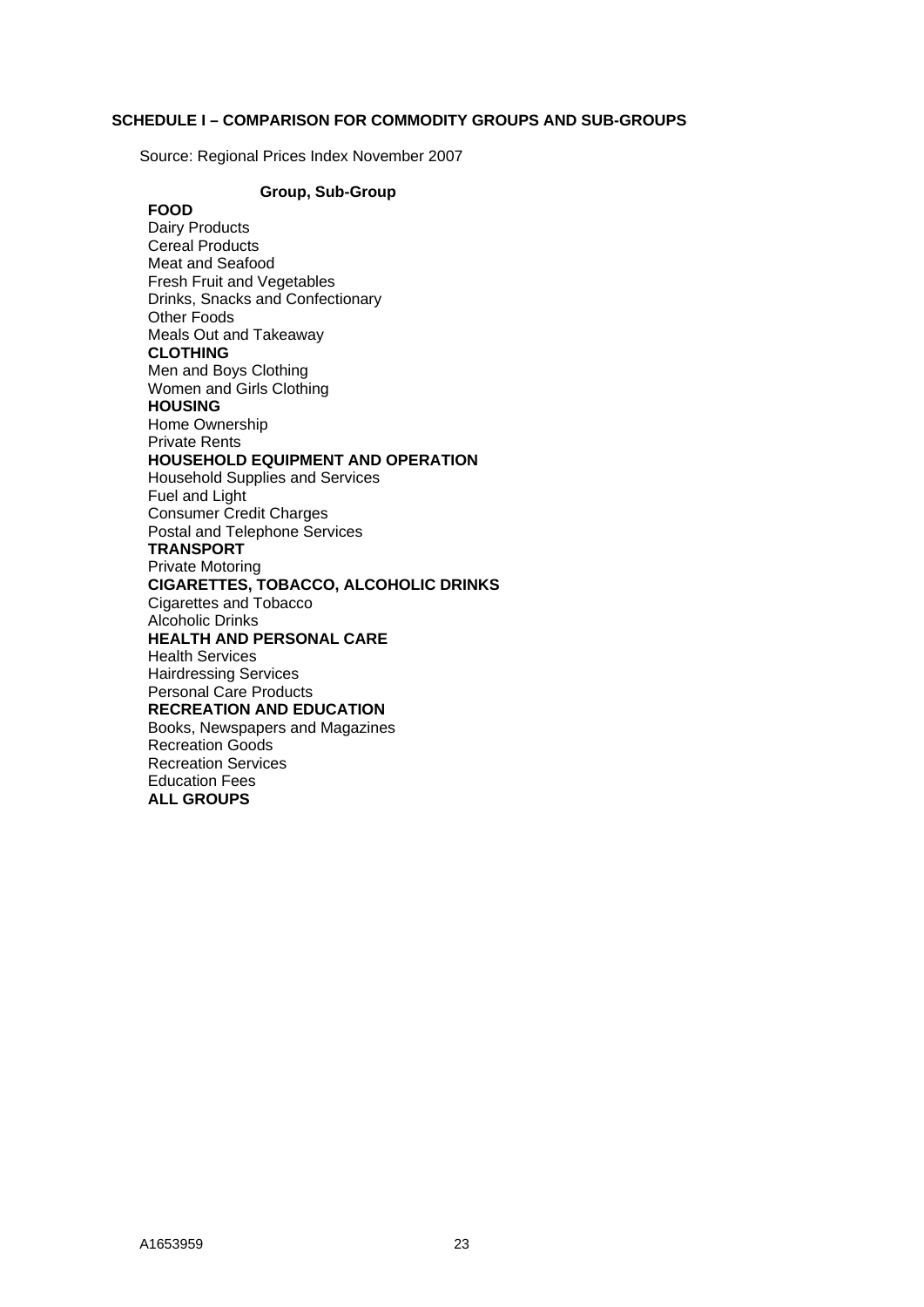#### **SCHEDULE I – COMPARISON FOR COMMODITY GROUPS AND SUB-GROUPS**

Source: Regional Prices Index November 2007

**Group, Sub-Group FOOD**  Dairy Products Cereal Products Meat and Seafood Fresh Fruit and Vegetables Drinks, Snacks and Confectionary Other Foods Meals Out and Takeaway **CLOTHING**  Men and Boys Clothing Women and Girls Clothing **HOUSING**  Home Ownership Private Rents **HOUSEHOLD EQUIPMENT AND OPERATION**  Household Supplies and Services Fuel and Light Consumer Credit Charges Postal and Telephone Services **TRANSPORT**  Private Motoring **CIGARETTES, TOBACCO, ALCOHOLIC DRINKS**  Cigarettes and Tobacco Alcoholic Drinks **HEALTH AND PERSONAL CARE**  Health Services Hairdressing Services Personal Care Products **RECREATION AND EDUCATION**  Books, Newspapers and Magazines Recreation Goods Recreation Services Education Fees **ALL GROUPS**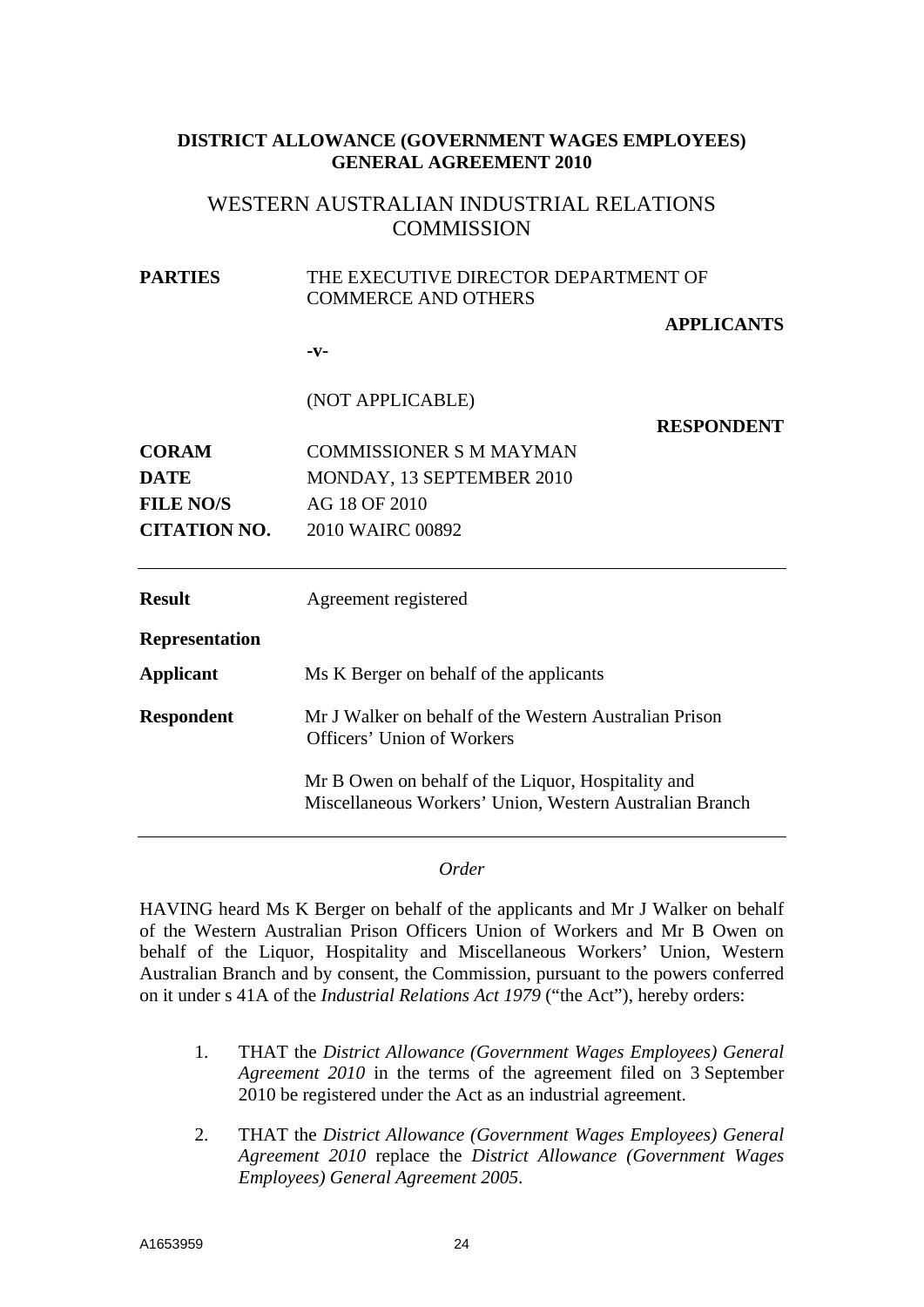# **DISTRICT ALLOWANCE (GOVERNMENT WAGES EMPLOYEES) GENERAL AGREEMENT 2010**

# WESTERN AUSTRALIAN INDUSTRIAL RELATIONS **COMMISSION**

# **PARTIES** THE EXECUTIVE DIRECTOR DEPARTMENT OF COMMERCE AND OTHERS **APPLICANTS -v-**  (NOT APPLICABLE) **RESPONDENT CORAM** COMMISSIONER S M MAYMAN **DATE** MONDAY, 13 SEPTEMBER 2010 **FILE NO/S** AG 18 OF 2010 **CITATION NO.** 2010 WAIRC 00892 **Result** Agreement registered **Representation Applicant** Ms K Berger on behalf of the applicants **Respondent** Mr J Walker on behalf of the Western Australian Prison Officers' Union of Workers Mr B Owen on behalf of the Liquor, Hospitality and Miscellaneous Workers' Union, Western Australian Branch

## *Order*

HAVING heard Ms K Berger on behalf of the applicants and Mr J Walker on behalf of the Western Australian Prison Officers Union of Workers and Mr B Owen on behalf of the Liquor, Hospitality and Miscellaneous Workers' Union, Western Australian Branch and by consent, the Commission, pursuant to the powers conferred on it under s 41A of the *Industrial Relations Act 1979* ("the Act"), hereby orders:

- 1. THAT the *District Allowance (Government Wages Employees) General Agreement 2010* in the terms of the agreement filed on 3 September 2010 be registered under the Act as an industrial agreement.
- 2. THAT the *District Allowance (Government Wages Employees) General Agreement 2010* replace the *District Allowance (Government Wages Employees) General Agreement 2005*.